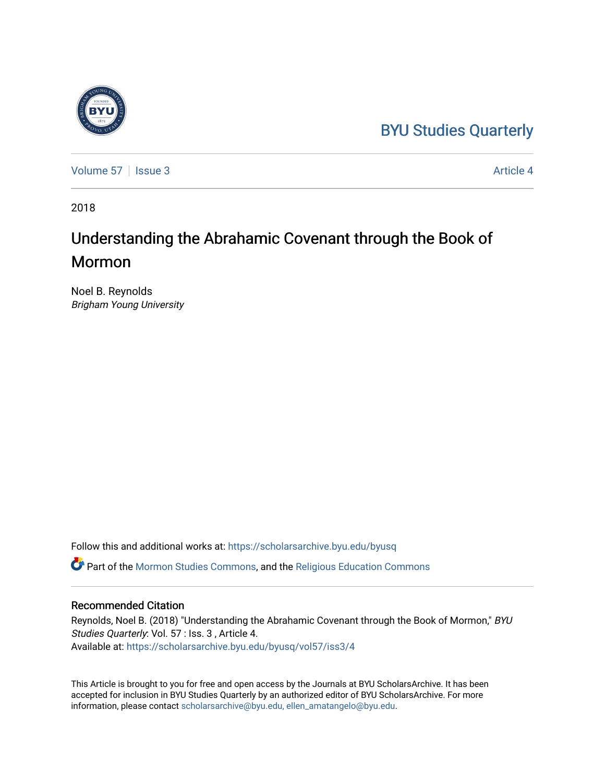## [BYU Studies Quarterly](https://scholarsarchive.byu.edu/byusq)



[Volume 57](https://scholarsarchive.byu.edu/byusq/vol57) | [Issue 3](https://scholarsarchive.byu.edu/byusq/vol57/iss3) Article 4

2018

# Understanding the Abrahamic Covenant through the Book of **Mormon**

Noel B. Reynolds Brigham Young University

Follow this and additional works at: [https://scholarsarchive.byu.edu/byusq](https://scholarsarchive.byu.edu/byusq?utm_source=scholarsarchive.byu.edu%2Fbyusq%2Fvol57%2Fiss3%2F4&utm_medium=PDF&utm_campaign=PDFCoverPages) 

Part of the [Mormon Studies Commons](http://network.bepress.com/hgg/discipline/1360?utm_source=scholarsarchive.byu.edu%2Fbyusq%2Fvol57%2Fiss3%2F4&utm_medium=PDF&utm_campaign=PDFCoverPages), and the [Religious Education Commons](http://network.bepress.com/hgg/discipline/1414?utm_source=scholarsarchive.byu.edu%2Fbyusq%2Fvol57%2Fiss3%2F4&utm_medium=PDF&utm_campaign=PDFCoverPages) 

## Recommended Citation

Reynolds, Noel B. (2018) "Understanding the Abrahamic Covenant through the Book of Mormon," BYU Studies Quarterly: Vol. 57 : Iss. 3 , Article 4. Available at: [https://scholarsarchive.byu.edu/byusq/vol57/iss3/4](https://scholarsarchive.byu.edu/byusq/vol57/iss3/4?utm_source=scholarsarchive.byu.edu%2Fbyusq%2Fvol57%2Fiss3%2F4&utm_medium=PDF&utm_campaign=PDFCoverPages)

This Article is brought to you for free and open access by the Journals at BYU ScholarsArchive. It has been accepted for inclusion in BYU Studies Quarterly by an authorized editor of BYU ScholarsArchive. For more information, please contact [scholarsarchive@byu.edu, ellen\\_amatangelo@byu.edu.](mailto:scholarsarchive@byu.edu,%20ellen_amatangelo@byu.edu)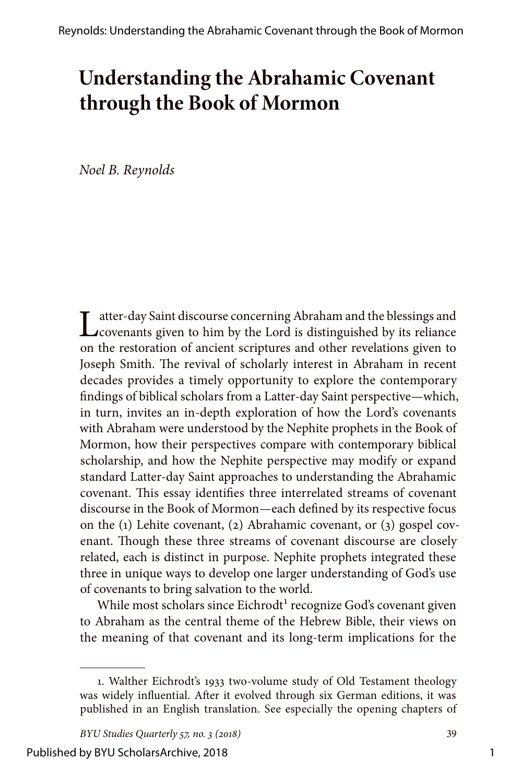## **Understanding the Abrahamic Covenant through the Book of Mormon**

*Noel B. Reynolds*

Latter-day Saint discourse concerning Abraham and the blessings and covenants given to him by the Lord is distinguished by its reliance on the restoration of ancient scriptures and other revelations given to Joseph Smith. The revival of scholarly interest in Abraham in recent decades provides a timely opportunity to explore the contemporary findings of biblical scholars from a Latter-day Saint perspective—which, in turn, invites an in-depth exploration of how the Lord's covenants with Abraham were understood by the Nephite prophets in the Book of Mormon, how their perspectives compare with contemporary biblical scholarship, and how the Nephite perspective may modify or expand standard Latter-day Saint approaches to understanding the Abrahamic covenant. This essay identifies three interrelated streams of covenant discourse in the Book of Mormon—each defined by its respective focus on the (1) Lehite covenant, (2) Abrahamic covenant, or (3) gospel covenant. Though these three streams of covenant discourse are closely related, each is distinct in purpose. Nephite prophets integrated these three in unique ways to develop one larger understanding of God's use of covenants to bring salvation to the world.

While most scholars since Eichrodt<sup>1</sup> recognize God's covenant given to Abraham as the central theme of the Hebrew Bible, their views on the meaning of that covenant and its long-term implications for the

<sup>1.</sup> Walther Eichrodt's 1933 two-volume study of Old Testament theology was widely influential. After it evolved through six German editions, it was published in an English translation. See especially the opening chapters of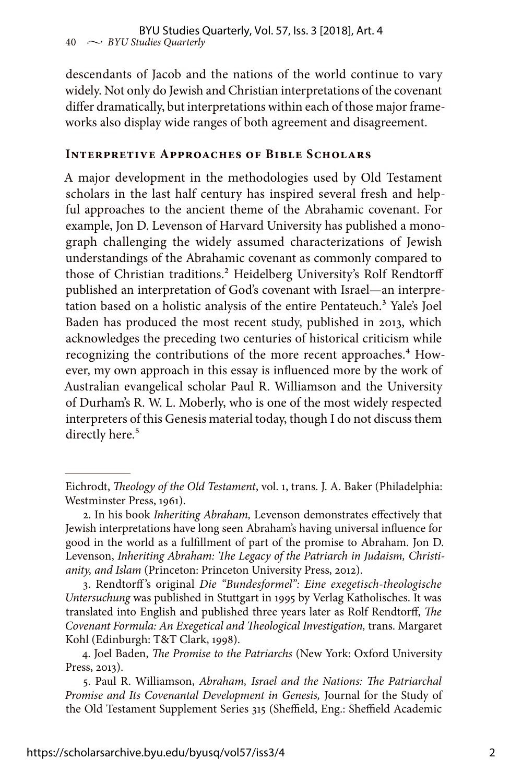descendants of Jacob and the nations of the world continue to vary widely. Not only do Jewish and Christian interpretations of the covenant differ dramatically, but interpretations within each of those major frameworks also display wide ranges of both agreement and disagreement.

#### **Interpretive Approaches of Bible Scholars**

A major development in the methodologies used by Old Testament scholars in the last half century has inspired several fresh and helpful approaches to the ancient theme of the Abrahamic covenant. For example, Jon D. Levenson of Harvard University has published a monograph challenging the widely assumed characterizations of Jewish understandings of the Abrahamic covenant as commonly compared to those of Christian traditions.<sup>2</sup> Heidelberg University's Rolf Rendtorff published an interpretation of God's covenant with Israel—an interpretation based on a holistic analysis of the entire Pentateuch.<sup>3</sup> Yale's Joel Baden has produced the most recent study, published in 2013, which acknowledges the preceding two centuries of historical criticism while recognizing the contributions of the more recent approaches.<sup>4</sup> However, my own approach in this essay is influenced more by the work of Australian evangelical scholar Paul R. Williamson and the University of Durham's R. W. L. Moberly, who is one of the most widely respected interpreters of this Genesis material today, though I do not discuss them directly here.<sup>5</sup>

3. Rendtorff 's original *Die "Bundesformel": Eine exegetisch-theologische Untersuchung* was published in Stuttgart in 1995 by Verlag Katholisches. It was translated into English and published three years later as Rolf Rendtorff, *The Covenant Formula: An Exegetical and Theological Investigation,* trans. Margaret Kohl (Edinburgh: T&T Clark, 1998).

Eichrodt, *Theology of the Old Testament*, vol. 1, trans. J. A. Baker (Philadelphia: Westminster Press, 1961).

<sup>2.</sup> In his book *Inheriting Abraham,* Levenson demonstrates effectively that Jewish interpretations have long seen Abraham's having universal influence for good in the world as a fulfillment of part of the promise to Abraham. Jon D. Levenson, *Inheriting Abraham: The Legacy of the Patriarch in Judaism, Christianity, and Islam* (Princeton: Princeton University Press, 2012).

<sup>4.</sup> Joel Baden, *The Promise to the Patriarchs* (New York: Oxford University Press, 2013).

<sup>5.</sup> Paul R. Williamson, *Abraham, Israel and the Nations: The Patriarchal Promise and Its Covenantal Development in Genesis,* Journal for the Study of the Old Testament Supplement Series 315 (Sheffield, Eng.: Sheffield Academic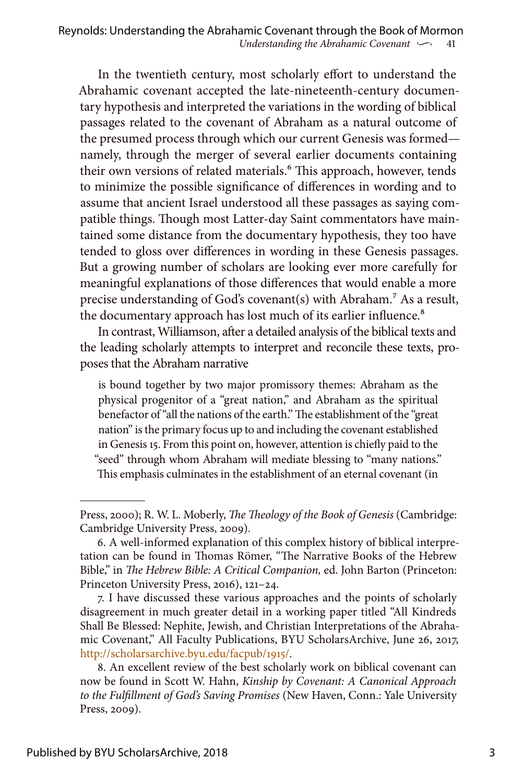In the twentieth century, most scholarly effort to understand the Abrahamic covenant accepted the late-nineteenth-century documentary hypothesis and interpreted the variations in the wording of biblical passages related to the covenant of Abraham as a natural outcome of the presumed process through which our current Genesis was formed namely, through the merger of several earlier documents containing their own versions of related materials.<sup>6</sup> This approach, however, tends to minimize the possible significance of differences in wording and to assume that ancient Israel understood all these passages as saying compatible things. Though most Latter-day Saint commentators have maintained some distance from the documentary hypothesis, they too have tended to gloss over differences in wording in these Genesis passages. But a growing number of scholars are looking ever more carefully for meaningful explanations of those differences that would enable a more precise understanding of God's covenant(s) with Abraham.7 As a result, the documentary approach has lost much of its earlier influence.<sup>8</sup>

In contrast, Williamson, after a detailed analysis of the biblical texts and the leading scholarly attempts to interpret and reconcile these texts, proposes that the Abraham narrative

is bound together by two major promissory themes: Abraham as the physical progenitor of a "great nation," and Abraham as the spiritual benefactor of "all the nations of the earth." The establishment of the "great nation" is the primary focus up to and including the covenant established in Genesis 15. From this point on, however, attention is chiefly paid to the "seed" through whom Abraham will mediate blessing to "many nations." This emphasis culminates in the establishment of an eternal covenant (in

Press, 2000); R. W. L. Moberly, *The Theology of the Book of Genesis* (Cambridge: Cambridge University Press, 2009).

<sup>6.</sup> A well-informed explanation of this complex history of biblical interpretation can be found in Thomas Römer, "The Narrative Books of the Hebrew Bible," in *The Hebrew Bible: A Critical Companion,* ed. John Barton (Princeton: Princeton University Press, 2016), 121–24.

<sup>7.</sup> I have discussed these various approaches and the points of scholarly disagreement in much greater detail in a working paper titled "All Kindreds Shall Be Blessed: Nephite, Jewish, and Christian Interpretations of the Abrahamic Covenant," All Faculty Publications, BYU ScholarsArchive, June 26, 2017, <http://scholarsarchive.byu.edu/facpub/1915/>.

<sup>8.</sup> An excellent review of the best scholarly work on biblical covenant can now be found in Scott W. Hahn, *Kinship by Covenant: A Canonical Approach to the Fulfillment of God's Saving Promises* (New Haven, Conn.: Yale University Press, 2009).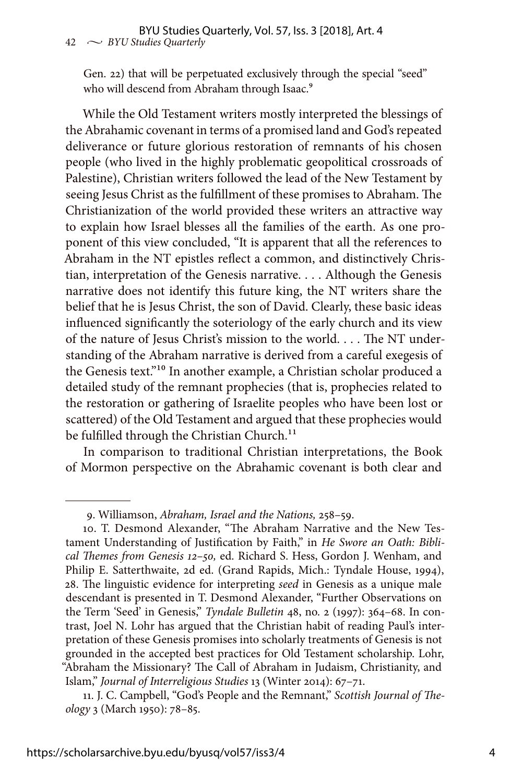Gen. 22) that will be perpetuated exclusively through the special "seed" who will descend from Abraham through Isaac.<sup>9</sup>

While the Old Testament writers mostly interpreted the blessings of the Abrahamic covenant in terms of a promised land and God's repeated deliverance or future glorious restoration of remnants of his chosen people (who lived in the highly problematic geopolitical crossroads of Palestine), Christian writers followed the lead of the New Testament by seeing Jesus Christ as the fulfillment of these promises to Abraham. The Christianization of the world provided these writers an attractive way to explain how Israel blesses all the families of the earth. As one proponent of this view concluded, "It is apparent that all the references to Abraham in the NT epistles reflect a common, and distinctively Christian, interpretation of the Genesis narrative. . . . Although the Genesis narrative does not identify this future king, the NT writers share the belief that he is Jesus Christ, the son of David. Clearly, these basic ideas influenced significantly the soteriology of the early church and its view of the nature of Jesus Christ's mission to the world. . . . The NT understanding of the Abraham narrative is derived from a careful exegesis of the Genesis text."10 In another example, a Christian scholar produced a detailed study of the remnant prophecies (that is, prophecies related to the restoration or gathering of Israelite peoples who have been lost or scattered) of the Old Testament and argued that these prophecies would be fulfilled through the Christian Church.<sup>11</sup>

In comparison to traditional Christian interpretations, the Book of Mormon perspective on the Abrahamic covenant is both clear and

<sup>9.</sup> Williamson, *Abraham, Israel and the Nations,* 258–59.

<sup>10.</sup> T. Desmond Alexander, "The Abraham Narrative and the New Testament Understanding of Justification by Faith," in *He Swore an Oath: Biblical Themes from Genesis 12–50,* ed. Richard S. Hess, Gordon J. Wenham, and Philip E. Satterthwaite, 2d ed. (Grand Rapids, Mich.: Tyndale House, 1994), 28. The linguistic evidence for interpreting *seed* in Genesis as a unique male descendant is presented in T. Desmond Alexander, "Further Observations on the Term 'Seed' in Genesis," *Tyndale Bulletin* 48, no. 2 (1997): 364–68. In contrast, Joel N. Lohr has argued that the Christian habit of reading Paul's interpretation of these Genesis promises into scholarly treatments of Genesis is not grounded in the accepted best practices for Old Testament scholarship. Lohr, "Abraham the Missionary? The Call of Abraham in Judaism, Christianity, and Islam," *Journal of Interreligious Studies* 13 (Winter 2014): 67–71.

<sup>11.</sup> J. C. Campbell, "God's People and the Remnant," *Scottish Journal of Theology* 3 (March 1950): 78–85.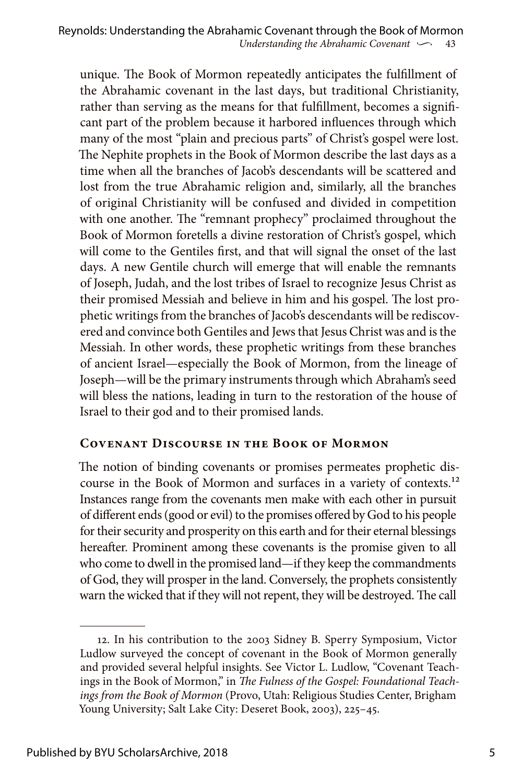unique. The Book of Mormon repeatedly anticipates the fulfillment of the Abrahamic covenant in the last days, but traditional Christianity, rather than serving as the means for that fulfillment, becomes a significant part of the problem because it harbored influences through which many of the most "plain and precious parts" of Christ's gospel were lost. The Nephite prophets in the Book of Mormon describe the last days as a time when all the branches of Jacob's descendants will be scattered and lost from the true Abrahamic religion and, similarly, all the branches of original Christianity will be confused and divided in competition with one another. The "remnant prophecy" proclaimed throughout the Book of Mormon foretells a divine restoration of Christ's gospel, which will come to the Gentiles first, and that will signal the onset of the last days. A new Gentile church will emerge that will enable the remnants of Joseph, Judah, and the lost tribes of Israel to recognize Jesus Christ as their promised Messiah and believe in him and his gospel. The lost prophetic writings from the branches of Jacob's descendants will be rediscovered and convince both Gentiles and Jews that Jesus Christ was and is the Messiah. In other words, these prophetic writings from these branches of ancient Israel—especially the Book of Mormon, from the lineage of Joseph—will be the primary instruments through which Abraham's seed will bless the nations, leading in turn to the restoration of the house of Israel to their god and to their promised lands.

## **Covenant Discourse in the Book of Mormon**

The notion of binding covenants or promises permeates prophetic discourse in the Book of Mormon and surfaces in a variety of contexts.12 Instances range from the covenants men make with each other in pursuit of different ends (good or evil) to the promises offered by God to his people for their security and prosperity on this earth and for their eternal blessings hereafter. Prominent among these covenants is the promise given to all who come to dwell in the promised land—if they keep the commandments of God, they will prosper in the land. Conversely, the prophets consistently warn the wicked that if they will not repent, they will be destroyed. The call

<sup>12.</sup> In his contribution to the 2003 Sidney B. Sperry Symposium, Victor Ludlow surveyed the concept of covenant in the Book of Mormon generally and provided several helpful insights. See Victor L. Ludlow, "Covenant Teachings in the Book of Mormon," in *The Fulness of the Gospel: Foundational Teachings from the Book of Mormon* (Provo, Utah: Religious Studies Center, Brigham Young University; Salt Lake City: Deseret Book, 2003), 225–45.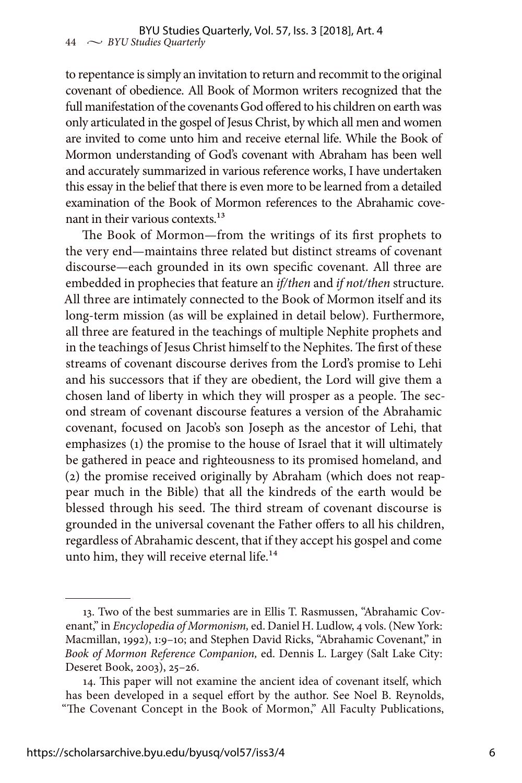to repentance is simply an invitation to return and recommit to the original covenant of obedience. All Book of Mormon writers recognized that the full manifestation of the covenants God offered to his children on earth was only articulated in the gospel of Jesus Christ, by which all men and women are invited to come unto him and receive eternal life. While the Book of Mormon understanding of God's covenant with Abraham has been well and accurately summarized in various reference works, I have undertaken this essay in the belief that there is even more to be learned from a detailed examination of the Book of Mormon references to the Abrahamic covenant in their various contexts.<sup>13</sup>

The Book of Mormon—from the writings of its first prophets to the very end—maintains three related but distinct streams of covenant discourse—each grounded in its own specific covenant. All three are embedded in prophecies that feature an *if/then* and *if not/then* structure. All three are intimately connected to the Book of Mormon itself and its long-term mission (as will be explained in detail below). Furthermore, all three are featured in the teachings of multiple Nephite prophets and in the teachings of Jesus Christ himself to the Nephites. The first of these streams of covenant discourse derives from the Lord's promise to Lehi and his successors that if they are obedient, the Lord will give them a chosen land of liberty in which they will prosper as a people. The second stream of covenant discourse features a version of the Abrahamic covenant, focused on Jacob's son Joseph as the ancestor of Lehi, that emphasizes (1) the promise to the house of Israel that it will ultimately be gathered in peace and righteousness to its promised homeland, and (2) the promise received originally by Abraham (which does not reappear much in the Bible) that all the kindreds of the earth would be blessed through his seed. The third stream of covenant discourse is grounded in the universal covenant the Father offers to all his children, regardless of Abrahamic descent, that if they accept his gospel and come unto him, they will receive eternal life.<sup>14</sup>

<sup>13.</sup> Two of the best summaries are in Ellis T. Rasmussen, "Abrahamic Covenant," in *Encyclopedia of Mormonism,* ed. Daniel H. Ludlow, 4 vols. (New York: Macmillan, 1992), 1:9–10; and Stephen David Ricks, "Abrahamic Covenant," in *Book of Mormon Reference Companion,* ed. Dennis L. Largey (Salt Lake City: Deseret Book, 2003), 25–26.

<sup>14.</sup> This paper will not examine the ancient idea of covenant itself, which has been developed in a sequel effort by the author. See Noel B. Reynolds, "The Covenant Concept in the Book of Mormon," All Faculty Publications,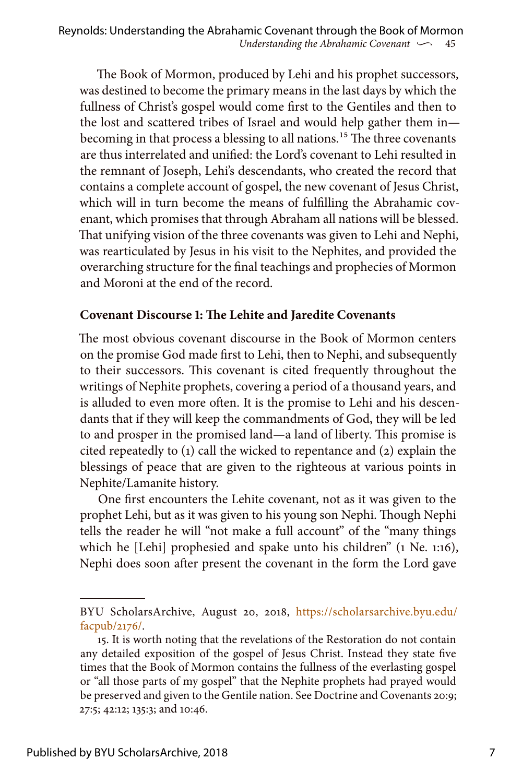The Book of Mormon, produced by Lehi and his prophet successors, was destined to become the primary means in the last days by which the fullness of Christ's gospel would come first to the Gentiles and then to the lost and scattered tribes of Israel and would help gather them in becoming in that process a blessing to all nations.<sup>15</sup> The three covenants are thus interrelated and unified: the Lord's covenant to Lehi resulted in the remnant of Joseph, Lehi's descendants, who created the record that contains a complete account of gospel, the new covenant of Jesus Christ, which will in turn become the means of fulfilling the Abrahamic covenant, which promises that through Abraham all nations will be blessed. That unifying vision of the three covenants was given to Lehi and Nephi, was rearticulated by Jesus in his visit to the Nephites, and provided the overarching structure for the final teachings and prophecies of Mormon and Moroni at the end of the record.

## **Covenant Discourse 1: The Lehite and Jaredite Covenants**

The most obvious covenant discourse in the Book of Mormon centers on the promise God made first to Lehi, then to Nephi, and subsequently to their successors. This covenant is cited frequently throughout the writings of Nephite prophets, covering a period of a thousand years, and is alluded to even more often. It is the promise to Lehi and his descendants that if they will keep the commandments of God, they will be led to and prosper in the promised land—a land of liberty. This promise is cited repeatedly to (1) call the wicked to repentance and (2) explain the blessings of peace that are given to the righteous at various points in Nephite/Lamanite history.

One first encounters the Lehite covenant, not as it was given to the prophet Lehi, but as it was given to his young son Nephi. Though Nephi tells the reader he will "not make a full account" of the "many things which he [Lehi] prophesied and spake unto his children" (1 Ne. 1:16), Nephi does soon after present the covenant in the form the Lord gave

BYU ScholarsArchive, August 20, 2018, [https://scholarsarchive.byu.edu/](https://scholarsarchive.byu.edu/facpub/2176/) [facpub/2176/.](https://scholarsarchive.byu.edu/facpub/2176/)

<sup>15.</sup> It is worth noting that the revelations of the Restoration do not contain any detailed exposition of the gospel of Jesus Christ. Instead they state five times that the Book of Mormon contains the fullness of the everlasting gospel or "all those parts of my gospel" that the Nephite prophets had prayed would be preserved and given to the Gentile nation. See Doctrine and Covenants 20:9; 27:5; 42:12; 135:3; and 10:46.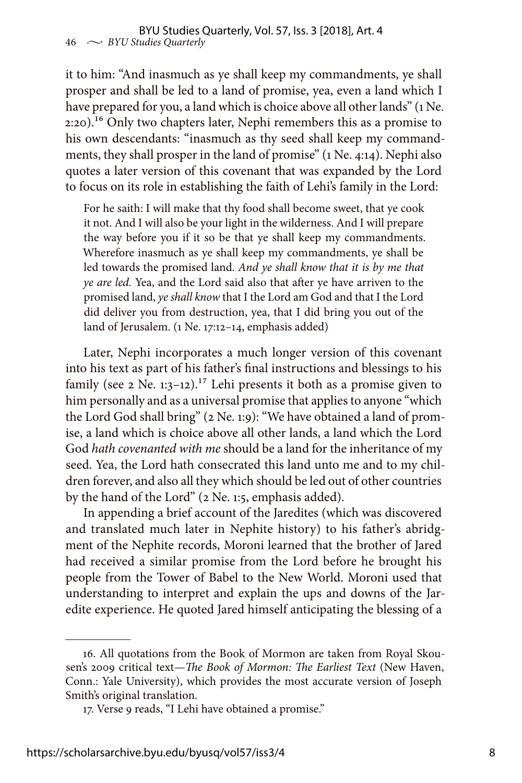it to him: "And inasmuch as ye shall keep my commandments, ye shall prosper and shall be led to a land of promise, yea, even a land which I have prepared for you, a land which is choice above all other lands" (1 Ne. 2:20).16 Only two chapters later, Nephi remembers this as a promise to his own descendants: "inasmuch as thy seed shall keep my commandments, they shall prosper in the land of promise" (1 Ne. 4:14). Nephi also quotes a later version of this covenant that was expanded by the Lord to focus on its role in establishing the faith of Lehi's family in the Lord:

For he saith: I will make that thy food shall become sweet, that ye cook it not. And I will also be your light in the wilderness. And I will prepare the way before you if it so be that ye shall keep my commandments. Wherefore inasmuch as ye shall keep my commandments, ye shall be led towards the promised land. *And ye shall know that it is by me that ye are led.* Yea, and the Lord said also that after ye have arriven to the promised land, *ye shall know* that I the Lord am God and that I the Lord did deliver you from destruction, yea, that I did bring you out of the land of Jerusalem. (1 Ne. 17:12–14, emphasis added)

Later, Nephi incorporates a much longer version of this covenant into his text as part of his father's final instructions and blessings to his family (see 2 Ne. 1:3-12).<sup>17</sup> Lehi presents it both as a promise given to him personally and as a universal promise that applies to anyone "which the Lord God shall bring" (2 Ne. 1:9): "We have obtained a land of promise, a land which is choice above all other lands, a land which the Lord God *hath covenanted with me* should be a land for the inheritance of my seed. Yea, the Lord hath consecrated this land unto me and to my children forever, and also all they which should be led out of other countries by the hand of the Lord" (2 Ne. 1:5, emphasis added).

In appending a brief account of the Jaredites (which was discovered and translated much later in Nephite history) to his father's abridgment of the Nephite records, Moroni learned that the brother of Jared had received a similar promise from the Lord before he brought his people from the Tower of Babel to the New World. Moroni used that understanding to interpret and explain the ups and downs of the Jaredite experience. He quoted Jared himself anticipating the blessing of a

<sup>16.</sup> All quotations from the Book of Mormon are taken from Royal Skousen's 2009 critical text—*The Book of Mormon: The Earliest Text* (New Haven, Conn.: Yale University), which provides the most accurate version of Joseph Smith's original translation.

<sup>17.</sup> Verse 9 reads, "I Lehi have obtained a promise."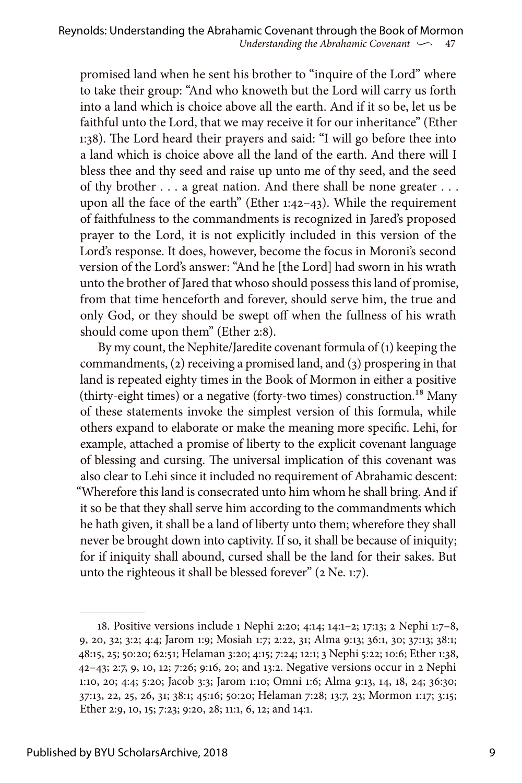promised land when he sent his brother to "inquire of the Lord" where to take their group: "And who knoweth but the Lord will carry us forth into a land which is choice above all the earth. And if it so be, let us be faithful unto the Lord, that we may receive it for our inheritance" (Ether 1:38). The Lord heard their prayers and said: "I will go before thee into a land which is choice above all the land of the earth. And there will I bless thee and thy seed and raise up unto me of thy seed, and the seed of thy brother . . . a great nation. And there shall be none greater . . . upon all the face of the earth" (Ether 1:42–43). While the requirement of faithfulness to the commandments is recognized in Jared's proposed prayer to the Lord, it is not explicitly included in this version of the Lord's response. It does, however, become the focus in Moroni's second version of the Lord's answer: "And he [the Lord] had sworn in his wrath unto the brother of Jared that whoso should possess this land of promise, from that time henceforth and forever, should serve him, the true and only God, or they should be swept off when the fullness of his wrath should come upon them" (Ether 2:8).

By my count, the Nephite/Jaredite covenant formula of (1) keeping the commandments, (2) receiving a promised land, and (3) prospering in that land is repeated eighty times in the Book of Mormon in either a positive (thirty-eight times) or a negative (forty-two times) construction.<sup>18</sup> Many of these statements invoke the simplest version of this formula, while others expand to elaborate or make the meaning more specific. Lehi, for example, attached a promise of liberty to the explicit covenant language of blessing and cursing. The universal implication of this covenant was also clear to Lehi since it included no requirement of Abrahamic descent: "Wherefore this land is consecrated unto him whom he shall bring. And if it so be that they shall serve him according to the commandments which he hath given, it shall be a land of liberty unto them; wherefore they shall never be brought down into captivity. If so, it shall be because of iniquity; for if iniquity shall abound, cursed shall be the land for their sakes. But unto the righteous it shall be blessed forever" (2 Ne. 1:7).

<sup>18.</sup> Positive versions include 1 Nephi 2:20; 4:14; 14:1–2; 17:13; 2 Nephi 1:7–8, 9, 20, 32; 3:2; 4:4; Jarom 1:9; Mosiah 1:7; 2:22, 31; Alma 9:13; 36:1, 30; 37:13; 38:1; 48:15, 25; 50:20; 62:51; Helaman 3:20; 4:15; 7:24; 12:1; 3 Nephi 5:22; 10:6; Ether 1:38, 42–43; 2:7, 9, 10, 12; 7:26; 9:16, 20; and 13:2. Negative versions occur in 2 Nephi 1:10, 20; 4:4; 5:20; Jacob 3:3; Jarom 1:10; Omni 1:6; Alma 9:13, 14, 18, 24; 36:30; 37:13, 22, 25, 26, 31; 38:1; 45:16; 50:20; Helaman 7:28; 13:7, 23; Mormon 1:17; 3:15; Ether 2:9, 10, 15; 7:23; 9:20, 28; 11:1, 6, 12; and 14:1.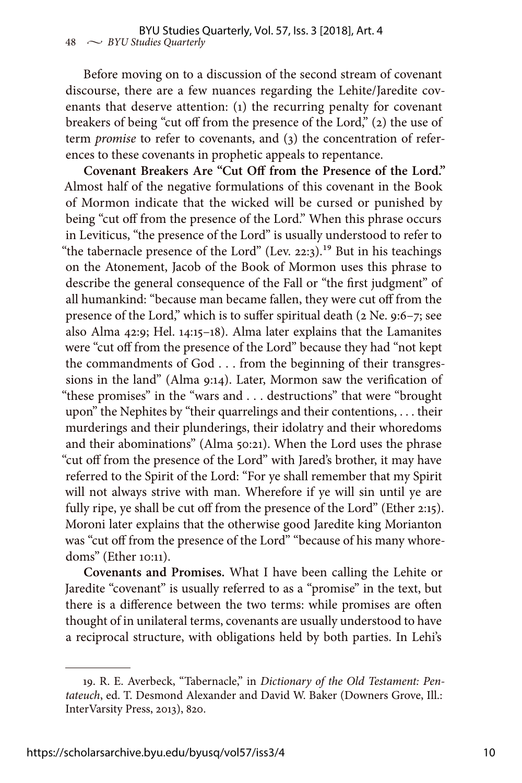Before moving on to a discussion of the second stream of covenant discourse, there are a few nuances regarding the Lehite/Jaredite covenants that deserve attention: (1) the recurring penalty for covenant breakers of being "cut off from the presence of the Lord," (2) the use of term *promise* to refer to covenants, and (3) the concentration of references to these covenants in prophetic appeals to repentance.

**Covenant Breakers Are "Cut Off from the Presence of the Lord."** Almost half of the negative formulations of this covenant in the Book of Mormon indicate that the wicked will be cursed or punished by being "cut off from the presence of the Lord." When this phrase occurs in Leviticus, "the presence of the Lord" is usually understood to refer to "the tabernacle presence of the Lord" (Lev. 22:3).<sup>19</sup> But in his teachings on the Atonement, Jacob of the Book of Mormon uses this phrase to describe the general consequence of the Fall or "the first judgment" of all humankind: "because man became fallen, they were cut off from the presence of the Lord," which is to suffer spiritual death (2 Ne. 9:6–7; see also Alma 42:9; Hel. 14:15–18). Alma later explains that the Lamanites were "cut off from the presence of the Lord" because they had "not kept the commandments of God . . . from the beginning of their transgressions in the land" (Alma 9:14). Later, Mormon saw the verification of "these promises" in the "wars and . . . destructions" that were "brought upon" the Nephites by "their quarrelings and their contentions, . . . their murderings and their plunderings, their idolatry and their whoredoms and their abominations" (Alma 50:21). When the Lord uses the phrase "cut off from the presence of the Lord" with Jared's brother, it may have referred to the Spirit of the Lord: "For ye shall remember that my Spirit will not always strive with man. Wherefore if ye will sin until ye are fully ripe, ye shall be cut off from the presence of the Lord" (Ether 2:15). Moroni later explains that the otherwise good Jaredite king Morianton was "cut off from the presence of the Lord" "because of his many whoredoms" (Ether 10:11).

**Covenants and Promises.** What I have been calling the Lehite or Jaredite "covenant" is usually referred to as a "promise" in the text, but there is a difference between the two terms: while promises are often thought of in unilateral terms, covenants are usually understood to have a reciprocal structure, with obligations held by both parties. In Lehi's

<sup>19.</sup> R. E. Averbeck, "Tabernacle," in *Dictionary of the Old Testament: Pentateuch*, ed. T. Desmond Alexander and David W. Baker (Downers Grove, Ill.: InterVarsity Press, 2013), 820.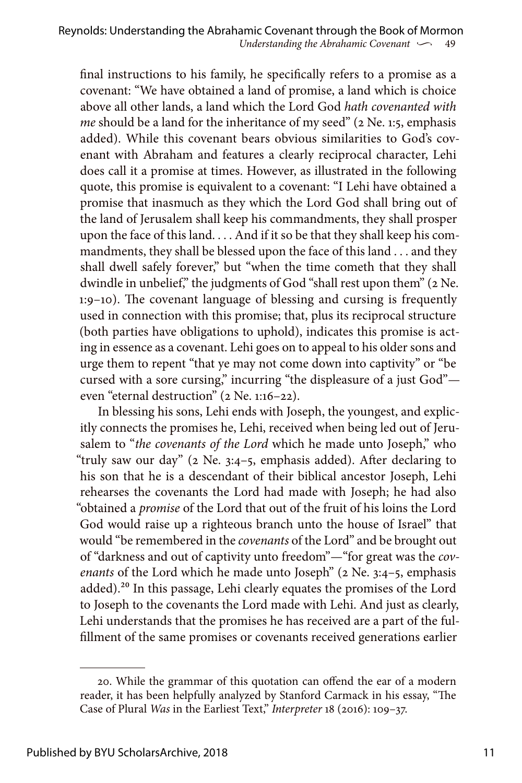final instructions to his family, he specifically refers to a promise as a covenant: "We have obtained a land of promise, a land which is choice above all other lands, a land which the Lord God *hath covenanted with me* should be a land for the inheritance of my seed" (2 Ne. 1:5, emphasis added). While this covenant bears obvious similarities to God's covenant with Abraham and features a clearly reciprocal character, Lehi does call it a promise at times. However, as illustrated in the following quote, this promise is equivalent to a covenant: "I Lehi have obtained a promise that inasmuch as they which the Lord God shall bring out of the land of Jerusalem shall keep his commandments, they shall prosper upon the face of this land. . . . And if it so be that they shall keep his commandments, they shall be blessed upon the face of this land . . . and they shall dwell safely forever," but "when the time cometh that they shall dwindle in unbelief," the judgments of God "shall rest upon them" (2 Ne. 1:9–10). The covenant language of blessing and cursing is frequently used in connection with this promise; that, plus its reciprocal structure (both parties have obligations to uphold), indicates this promise is acting in essence as a covenant. Lehi goes on to appeal to his older sons and urge them to repent "that ye may not come down into captivity" or "be cursed with a sore cursing," incurring "the displeasure of a just God" even "eternal destruction" (2 Ne. 1:16–22).

In blessing his sons, Lehi ends with Joseph, the youngest, and explicitly connects the promises he, Lehi, received when being led out of Jerusalem to "*the covenants of the Lord* which he made unto Joseph," who "truly saw our day" (2 Ne. 3:4–5, emphasis added). After declaring to his son that he is a descendant of their biblical ancestor Joseph, Lehi rehearses the covenants the Lord had made with Joseph; he had also "obtained a *promise* of the Lord that out of the fruit of his loins the Lord God would raise up a righteous branch unto the house of Israel" that would "be remembered in the *covenants* of the Lord" and be brought out of "darkness and out of captivity unto freedom"—"for great was the *covenants* of the Lord which he made unto Joseph" (2 Ne. 3:4–5, emphasis added).20 In this passage, Lehi clearly equates the promises of the Lord to Joseph to the covenants the Lord made with Lehi. And just as clearly, Lehi understands that the promises he has received are a part of the fulfillment of the same promises or covenants received generations earlier

<sup>20.</sup> While the grammar of this quotation can offend the ear of a modern reader, it has been helpfully analyzed by Stanford Carmack in his essay, "The Case of Plural *Was* in the Earliest Text," *Interpreter* 18 (2016): 109–37.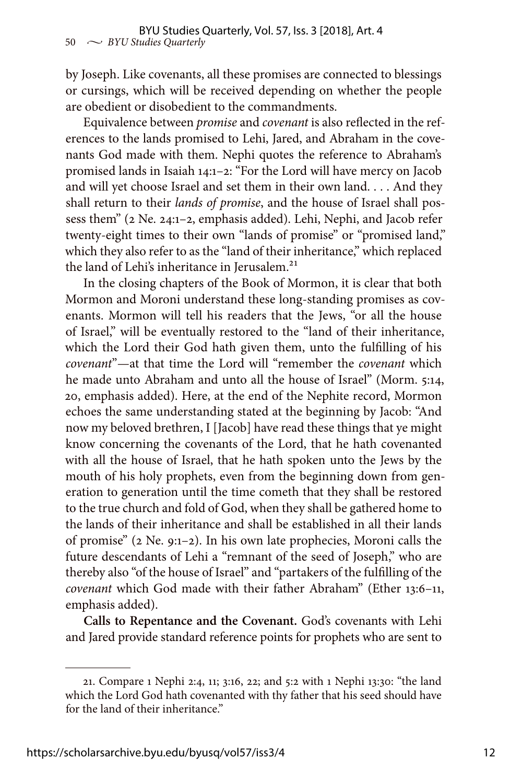by Joseph. Like covenants, all these promises are connected to blessings or cursings, which will be received depending on whether the people are obedient or disobedient to the commandments.

Equivalence between *promise* and *covenant* is also reflected in the references to the lands promised to Lehi, Jared, and Abraham in the covenants God made with them. Nephi quotes the reference to Abraham's promised lands in Isaiah 14:1–2: "For the Lord will have mercy on Jacob and will yet choose Israel and set them in their own land. . . . And they shall return to their *lands of promise*, and the house of Israel shall possess them" (2 Ne. 24:1–2, emphasis added). Lehi, Nephi, and Jacob refer twenty-eight times to their own "lands of promise" or "promised land," which they also refer to as the "land of their inheritance," which replaced the land of Lehi's inheritance in Jerusalem. $21$ 

In the closing chapters of the Book of Mormon, it is clear that both Mormon and Moroni understand these long-standing promises as covenants. Mormon will tell his readers that the Jews, "or all the house of Israel," will be eventually restored to the "land of their inheritance, which the Lord their God hath given them, unto the fulfilling of his *covenant*"—at that time the Lord will "remember the *covenant* which he made unto Abraham and unto all the house of Israel" (Morm. 5:14, 20, emphasis added). Here, at the end of the Nephite record, Mormon echoes the same understanding stated at the beginning by Jacob: "And now my beloved brethren, I [Jacob] have read these things that ye might know concerning the covenants of the Lord, that he hath covenanted with all the house of Israel, that he hath spoken unto the Jews by the mouth of his holy prophets, even from the beginning down from generation to generation until the time cometh that they shall be restored to the true church and fold of God, when they shall be gathered home to the lands of their inheritance and shall be established in all their lands of promise" (2 Ne. 9:1–2). In his own late prophecies, Moroni calls the future descendants of Lehi a "remnant of the seed of Joseph," who are thereby also "of the house of Israel" and "partakers of the fulfilling of the *covenant* which God made with their father Abraham" (Ether 13:6–11, emphasis added).

**Calls to Repentance and the Covenant.** God's covenants with Lehi and Jared provide standard reference points for prophets who are sent to

<sup>21.</sup> Compare 1 Nephi 2:4, 11; 3:16, 22; and 5:2 with 1 Nephi 13:30: "the land which the Lord God hath covenanted with thy father that his seed should have for the land of their inheritance."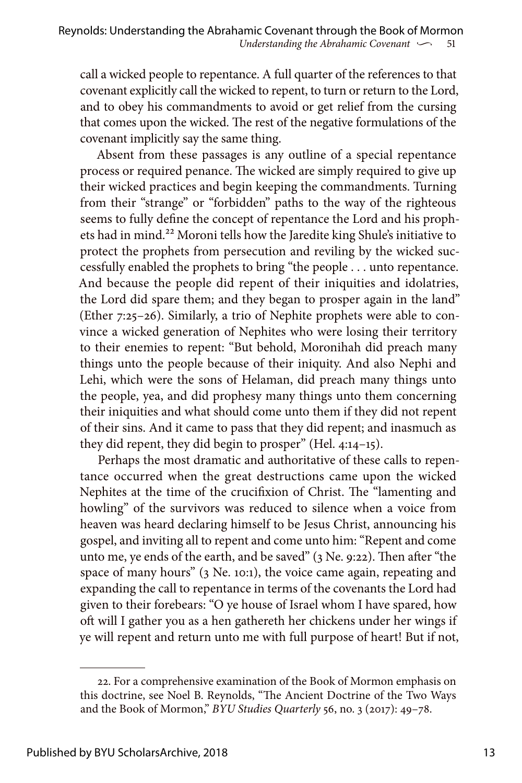call a wicked people to repentance. A full quarter of the references to that covenant explicitly call the wicked to repent, to turn or return to the Lord, and to obey his commandments to avoid or get relief from the cursing that comes upon the wicked. The rest of the negative formulations of the covenant implicitly say the same thing.

Absent from these passages is any outline of a special repentance process or required penance. The wicked are simply required to give up their wicked practices and begin keeping the commandments. Turning from their "strange" or "forbidden" paths to the way of the righteous seems to fully define the concept of repentance the Lord and his prophets had in mind.<sup>22</sup> Moroni tells how the Jaredite king Shule's initiative to protect the prophets from persecution and reviling by the wicked successfully enabled the prophets to bring "the people . . . unto repentance. And because the people did repent of their iniquities and idolatries, the Lord did spare them; and they began to prosper again in the land" (Ether 7:25–26). Similarly, a trio of Nephite prophets were able to convince a wicked generation of Nephites who were losing their territory to their enemies to repent: "But behold, Moronihah did preach many things unto the people because of their iniquity. And also Nephi and Lehi, which were the sons of Helaman, did preach many things unto the people, yea, and did prophesy many things unto them concerning their iniquities and what should come unto them if they did not repent of their sins. And it came to pass that they did repent; and inasmuch as they did repent, they did begin to prosper" (Hel. 4:14–15).

Perhaps the most dramatic and authoritative of these calls to repentance occurred when the great destructions came upon the wicked Nephites at the time of the crucifixion of Christ. The "lamenting and howling" of the survivors was reduced to silence when a voice from heaven was heard declaring himself to be Jesus Christ, announcing his gospel, and inviting all to repent and come unto him: "Repent and come unto me, ye ends of the earth, and be saved" (3 Ne. 9:22). Then after "the space of many hours" (3 Ne. 10:1), the voice came again, repeating and expanding the call to repentance in terms of the covenants the Lord had given to their forebears: "O ye house of Israel whom I have spared, how oft will I gather you as a hen gathereth her chickens under her wings if ye will repent and return unto me with full purpose of heart! But if not,

<sup>22.</sup> For a comprehensive examination of the Book of Mormon emphasis on this doctrine, see Noel B. Reynolds, "The Ancient Doctrine of the Two Ways and the Book of Mormon," *BYU Studies Quarterly* 56, no. 3 (2017): 49–78.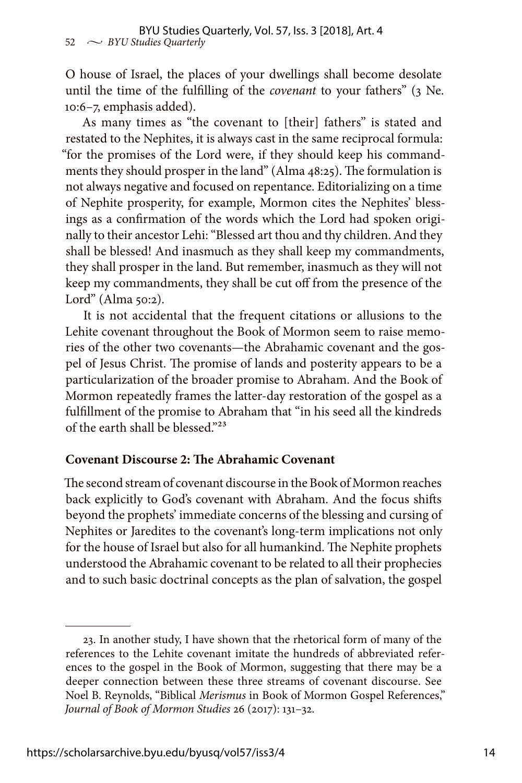O house of Israel, the places of your dwellings shall become desolate until the time of the fulfilling of the *covenant* to your fathers" (3 Ne. 10:6–7, emphasis added).

As many times as "the covenant to [their] fathers" is stated and restated to the Nephites, it is always cast in the same reciprocal formula: "for the promises of the Lord were, if they should keep his commandments they should prosper in the land" (Alma 48:25). The formulation is not always negative and focused on repentance. Editorializing on a time of Nephite prosperity, for example, Mormon cites the Nephites' blessings as a confirmation of the words which the Lord had spoken originally to their ancestor Lehi: "Blessed art thou and thy children. And they shall be blessed! And inasmuch as they shall keep my commandments, they shall prosper in the land. But remember, inasmuch as they will not keep my commandments, they shall be cut off from the presence of the Lord" (Alma 50:2).

It is not accidental that the frequent citations or allusions to the Lehite covenant throughout the Book of Mormon seem to raise memories of the other two covenants—the Abrahamic covenant and the gospel of Jesus Christ. The promise of lands and posterity appears to be a particularization of the broader promise to Abraham. And the Book of Mormon repeatedly frames the latter-day restoration of the gospel as a fulfillment of the promise to Abraham that "in his seed all the kindreds of the earth shall be blessed."23

#### **Covenant Discourse 2: The Abrahamic Covenant**

The second stream of covenant discourse in the Book of Mormon reaches back explicitly to God's covenant with Abraham. And the focus shifts beyond the prophets' immediate concerns of the blessing and cursing of Nephites or Jaredites to the covenant's long-term implications not only for the house of Israel but also for all humankind. The Nephite prophets understood the Abrahamic covenant to be related to all their prophecies and to such basic doctrinal concepts as the plan of salvation, the gospel

<sup>23.</sup> In another study, I have shown that the rhetorical form of many of the references to the Lehite covenant imitate the hundreds of abbreviated references to the gospel in the Book of Mormon, suggesting that there may be a deeper connection between these three streams of covenant discourse. See Noel B. Reynolds, "Biblical *Merismus* in Book of Mormon Gospel References," *Journal of Book of Mormon Studies* 26 (2017): 131–32.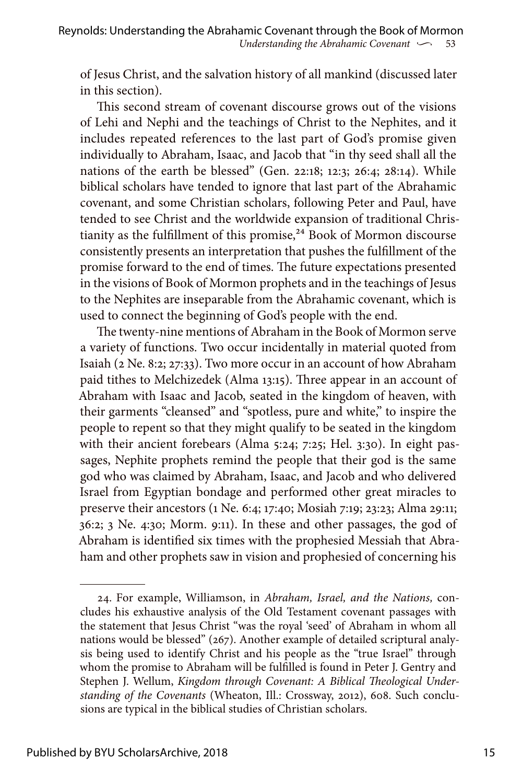of Jesus Christ, and the salvation history of all mankind (discussed later in this section).

This second stream of covenant discourse grows out of the visions of Lehi and Nephi and the teachings of Christ to the Nephites, and it includes repeated references to the last part of God's promise given individually to Abraham, Isaac, and Jacob that "in thy seed shall all the nations of the earth be blessed" (Gen. 22:18; 12:3; 26:4; 28:14). While biblical scholars have tended to ignore that last part of the Abrahamic covenant, and some Christian scholars, following Peter and Paul, have tended to see Christ and the worldwide expansion of traditional Christianity as the fulfillment of this promise,<sup>24</sup> Book of Mormon discourse consistently presents an interpretation that pushes the fulfillment of the promise forward to the end of times. The future expectations presented in the visions of Book of Mormon prophets and in the teachings of Jesus to the Nephites are inseparable from the Abrahamic covenant, which is used to connect the beginning of God's people with the end.

The twenty-nine mentions of Abraham in the Book of Mormon serve a variety of functions. Two occur incidentally in material quoted from Isaiah (2 Ne. 8:2; 27:33). Two more occur in an account of how Abraham paid tithes to Melchizedek (Alma 13:15). Three appear in an account of Abraham with Isaac and Jacob, seated in the kingdom of heaven, with their garments "cleansed" and "spotless, pure and white," to inspire the people to repent so that they might qualify to be seated in the kingdom with their ancient forebears (Alma 5:24; 7:25; Hel. 3:30). In eight passages, Nephite prophets remind the people that their god is the same god who was claimed by Abraham, Isaac, and Jacob and who delivered Israel from Egyptian bondage and performed other great miracles to preserve their ancestors (1 Ne. 6:4; 17:40; Mosiah 7:19; 23:23; Alma 29:11; 36:2; 3 Ne. 4:30; Morm. 9:11). In these and other passages, the god of Abraham is identified six times with the prophesied Messiah that Abraham and other prophets saw in vision and prophesied of concerning his

<sup>24.</sup> For example, Williamson, in *Abraham, Israel, and the Nations,* concludes his exhaustive analysis of the Old Testament covenant passages with the statement that Jesus Christ "was the royal 'seed' of Abraham in whom all nations would be blessed" (267). Another example of detailed scriptural analysis being used to identify Christ and his people as the "true Israel" through whom the promise to Abraham will be fulfilled is found in Peter J. Gentry and Stephen J. Wellum, *Kingdom through Covenant: A Biblical Theological Understanding of the Covenants* (Wheaton, Ill.: Crossway, 2012), 608. Such conclusions are typical in the biblical studies of Christian scholars.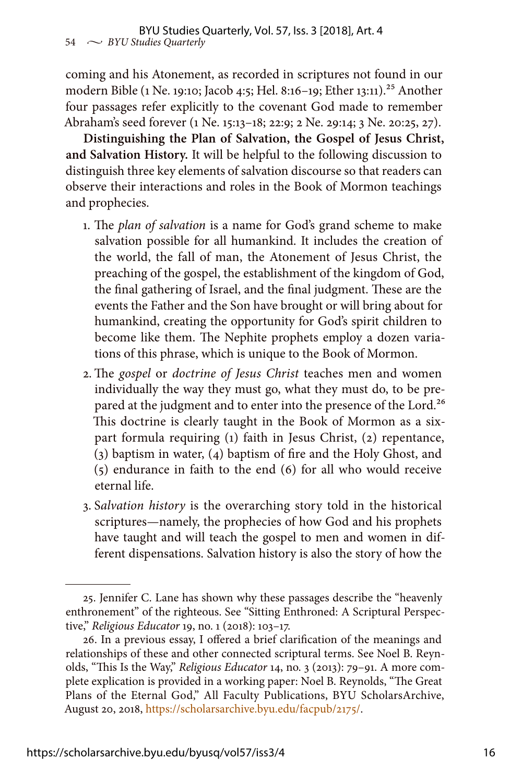coming and his Atonement, as recorded in scriptures not found in our modern Bible (1 Ne. 19:10; Jacob 4:5; Hel. 8:16-19; Ether 13:11).<sup>25</sup> Another four passages refer explicitly to the covenant God made to remember Abraham's seed forever (1 Ne. 15:13–18; 22:9; 2 Ne. 29:14; 3 Ne. 20:25, 27).

**Distinguishing the Plan of Salvation, the Gospel of Jesus Christ, and Salvation History.** It will be helpful to the following discussion to distinguish three key elements of salvation discourse so that readers can observe their interactions and roles in the Book of Mormon teachings and prophecies.

- 1. The *plan of salvation* is a name for God's grand scheme to make salvation possible for all humankind. It includes the creation of the world, the fall of man, the Atonement of Jesus Christ, the preaching of the gospel, the establishment of the kingdom of God, the final gathering of Israel, and the final judgment. These are the events the Father and the Son have brought or will bring about for humankind, creating the opportunity for God's spirit children to become like them. The Nephite prophets employ a dozen variations of this phrase, which is unique to the Book of Mormon.
- 2. The *gospel* or *doctrine of Jesus Christ* teaches men and women individually the way they must go, what they must do, to be prepared at the judgment and to enter into the presence of the Lord.<sup>26</sup> This doctrine is clearly taught in the Book of Mormon as a sixpart formula requiring (1) faith in Jesus Christ, (2) repentance, (3) baptism in water, (4) baptism of fire and the Holy Ghost, and (5) endurance in faith to the end (6) for all who would receive eternal life.
- 3. S*alvation history* is the overarching story told in the historical scriptures—namely, the prophecies of how God and his prophets have taught and will teach the gospel to men and women in different dispensations. Salvation history is also the story of how the

<sup>25.</sup> Jennifer C. Lane has shown why these passages describe the "heavenly enthronement" of the righteous. See "Sitting Enthroned: A Scriptural Perspective," *Religious Educator* 19, no. 1 (2018): 103–17.

<sup>26.</sup> In a previous essay, I offered a brief clarification of the meanings and relationships of these and other connected scriptural terms. See Noel B. Reynolds, "This Is the Way," *Religious Educator* 14, no. 3 (2013): 79–91. A more complete explication is provided in a working paper: Noel B. Reynolds, "The Great Plans of the Eternal God," All Faculty Publications, BYU ScholarsArchive, August 20, 2018,<https://scholarsarchive.byu.edu/facpub/2175/>.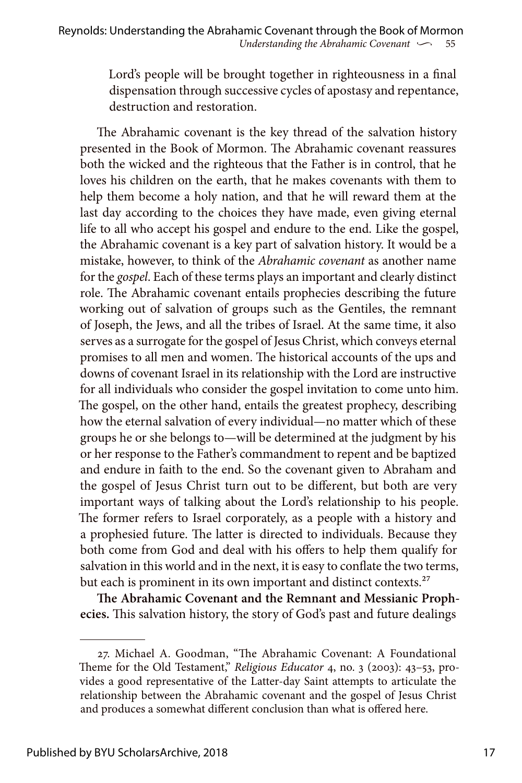Lord's people will be brought together in righteousness in a final dispensation through successive cycles of apostasy and repentance, destruction and restoration.

The Abrahamic covenant is the key thread of the salvation history presented in the Book of Mormon. The Abrahamic covenant reassures both the wicked and the righteous that the Father is in control, that he loves his children on the earth, that he makes covenants with them to help them become a holy nation, and that he will reward them at the last day according to the choices they have made, even giving eternal life to all who accept his gospel and endure to the end. Like the gospel, the Abrahamic covenant is a key part of salvation history. It would be a mistake, however, to think of the *Abrahamic covenant* as another name for the *gospel*. Each of these terms plays an important and clearly distinct role. The Abrahamic covenant entails prophecies describing the future working out of salvation of groups such as the Gentiles, the remnant of Joseph, the Jews, and all the tribes of Israel. At the same time, it also serves as a surrogate for the gospel of Jesus Christ, which conveys eternal promises to all men and women. The historical accounts of the ups and downs of covenant Israel in its relationship with the Lord are instructive for all individuals who consider the gospel invitation to come unto him. The gospel, on the other hand, entails the greatest prophecy, describing how the eternal salvation of every individual—no matter which of these groups he or she belongs to—will be determined at the judgment by his or her response to the Father's commandment to repent and be baptized and endure in faith to the end. So the covenant given to Abraham and the gospel of Jesus Christ turn out to be different, but both are very important ways of talking about the Lord's relationship to his people. The former refers to Israel corporately, as a people with a history and a prophesied future. The latter is directed to individuals. Because they both come from God and deal with his offers to help them qualify for salvation in this world and in the next, it is easy to conflate the two terms, but each is prominent in its own important and distinct contexts.<sup>27</sup>

**The Abrahamic Covenant and the Remnant and Messianic Prophecies.** This salvation history, the story of God's past and future dealings

<sup>27.</sup> Michael A. Goodman, "The Abrahamic Covenant: A Foundational Theme for the Old Testament," *Religious Educator* 4, no. 3 (2003): 43–53, provides a good representative of the Latter-day Saint attempts to articulate the relationship between the Abrahamic covenant and the gospel of Jesus Christ and produces a somewhat different conclusion than what is offered here.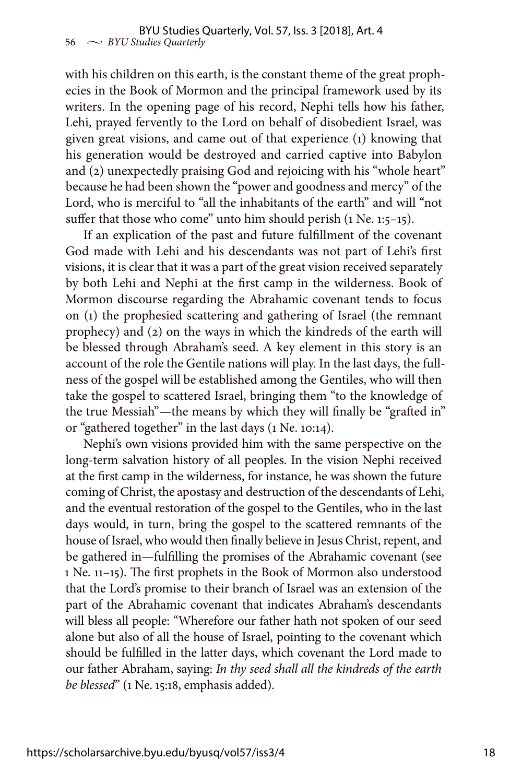with his children on this earth, is the constant theme of the great prophecies in the Book of Mormon and the principal framework used by its writers. In the opening page of his record, Nephi tells how his father, Lehi, prayed fervently to the Lord on behalf of disobedient Israel, was given great visions, and came out of that experience (1) knowing that his generation would be destroyed and carried captive into Babylon and (2) unexpectedly praising God and rejoicing with his "whole heart" because he had been shown the "power and goodness and mercy" of the Lord, who is merciful to "all the inhabitants of the earth" and will "not suffer that those who come" unto him should perish (1 Ne. 1:5–15).

If an explication of the past and future fulfillment of the covenant God made with Lehi and his descendants was not part of Lehi's first visions, it is clear that it was a part of the great vision received separately by both Lehi and Nephi at the first camp in the wilderness. Book of Mormon discourse regarding the Abrahamic covenant tends to focus on (1) the prophesied scattering and gathering of Israel (the remnant prophecy) and (2) on the ways in which the kindreds of the earth will be blessed through Abraham's seed. A key element in this story is an account of the role the Gentile nations will play. In the last days, the fullness of the gospel will be established among the Gentiles, who will then take the gospel to scattered Israel, bringing them "to the knowledge of the true Messiah"—the means by which they will finally be "grafted in" or "gathered together" in the last days (1 Ne. 10:14).

Nephi's own visions provided him with the same perspective on the long-term salvation history of all peoples. In the vision Nephi received at the first camp in the wilderness, for instance, he was shown the future coming of Christ, the apostasy and destruction of the descendants of Lehi, and the eventual restoration of the gospel to the Gentiles, who in the last days would, in turn, bring the gospel to the scattered remnants of the house of Israel, who would then finally believe in Jesus Christ, repent, and be gathered in—fulfilling the promises of the Abrahamic covenant (see 1 Ne. 11–15). The first prophets in the Book of Mormon also understood that the Lord's promise to their branch of Israel was an extension of the part of the Abrahamic covenant that indicates Abraham's descendants will bless all people: "Wherefore our father hath not spoken of our seed alone but also of all the house of Israel, pointing to the covenant which should be fulfilled in the latter days, which covenant the Lord made to our father Abraham, saying: *In thy seed shall all the kindreds of the earth be blessed*" (1 Ne. 15:18, emphasis added).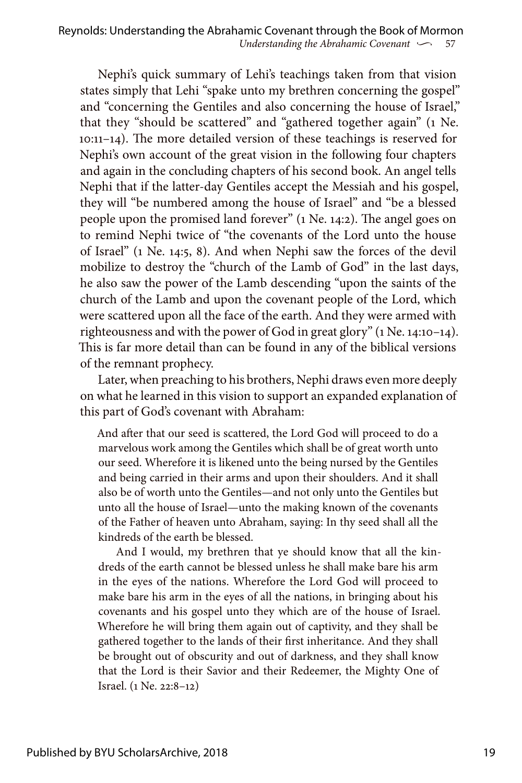Nephi's quick summary of Lehi's teachings taken from that vision states simply that Lehi "spake unto my brethren concerning the gospel" and "concerning the Gentiles and also concerning the house of Israel," that they "should be scattered" and "gathered together again" (1 Ne. 10:11–14). The more detailed version of these teachings is reserved for Nephi's own account of the great vision in the following four chapters and again in the concluding chapters of his second book. An angel tells Nephi that if the latter-day Gentiles accept the Messiah and his gospel, they will "be numbered among the house of Israel" and "be a blessed people upon the promised land forever" (1 Ne. 14:2). The angel goes on to remind Nephi twice of "the covenants of the Lord unto the house of Israel" (1 Ne. 14:5, 8). And when Nephi saw the forces of the devil mobilize to destroy the "church of the Lamb of God" in the last days, he also saw the power of the Lamb descending "upon the saints of the church of the Lamb and upon the covenant people of the Lord, which were scattered upon all the face of the earth. And they were armed with righteousness and with the power of God in great glory" (1 Ne. 14:10–14). This is far more detail than can be found in any of the biblical versions of the remnant prophecy.

Later, when preaching to his brothers, Nephi draws even more deeply on what he learned in this vision to support an expanded explanation of this part of God's covenant with Abraham:

And after that our seed is scattered, the Lord God will proceed to do a marvelous work among the Gentiles which shall be of great worth unto our seed. Wherefore it is likened unto the being nursed by the Gentiles and being carried in their arms and upon their shoulders. And it shall also be of worth unto the Gentiles—and not only unto the Gentiles but unto all the house of Israel—unto the making known of the covenants of the Father of heaven unto Abraham, saying: In thy seed shall all the kindreds of the earth be blessed.

And I would, my brethren that ye should know that all the kindreds of the earth cannot be blessed unless he shall make bare his arm in the eyes of the nations. Wherefore the Lord God will proceed to make bare his arm in the eyes of all the nations, in bringing about his covenants and his gospel unto they which are of the house of Israel. Wherefore he will bring them again out of captivity, and they shall be gathered together to the lands of their first inheritance. And they shall be brought out of obscurity and out of darkness, and they shall know that the Lord is their Savior and their Redeemer, the Mighty One of Israel. (1 Ne. 22:8–12)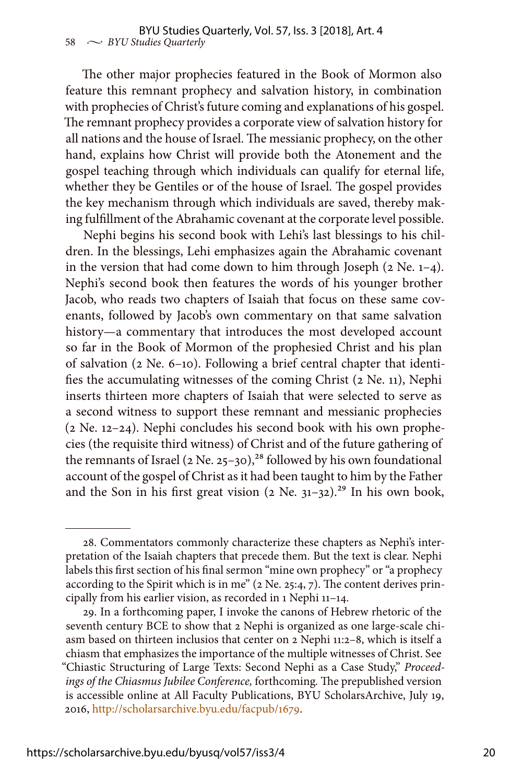The other major prophecies featured in the Book of Mormon also feature this remnant prophecy and salvation history, in combination with prophecies of Christ's future coming and explanations of his gospel. The remnant prophecy provides a corporate view of salvation history for all nations and the house of Israel. The messianic prophecy, on the other hand, explains how Christ will provide both the Atonement and the gospel teaching through which individuals can qualify for eternal life, whether they be Gentiles or of the house of Israel. The gospel provides the key mechanism through which individuals are saved, thereby making fulfillment of the Abrahamic covenant at the corporate level possible.

Nephi begins his second book with Lehi's last blessings to his children. In the blessings, Lehi emphasizes again the Abrahamic covenant in the version that had come down to him through Joseph  $(2 \text{ Ne. } 1-4)$ . Nephi's second book then features the words of his younger brother Jacob, who reads two chapters of Isaiah that focus on these same covenants, followed by Jacob's own commentary on that same salvation history—a commentary that introduces the most developed account so far in the Book of Mormon of the prophesied Christ and his plan of salvation (2 Ne. 6–10). Following a brief central chapter that identifies the accumulating witnesses of the coming Christ (2 Ne. 11), Nephi inserts thirteen more chapters of Isaiah that were selected to serve as a second witness to support these remnant and messianic prophecies (2 Ne. 12–24). Nephi concludes his second book with his own prophecies (the requisite third witness) of Christ and of the future gathering of the remnants of Israel ( $2$  Ne. 25–30),<sup>28</sup> followed by his own foundational account of the gospel of Christ as it had been taught to him by the Father and the Son in his first great vision  $(2 \text{ Ne. } 31-32).^{29}$  In his own book,

<sup>28.</sup> Commentators commonly characterize these chapters as Nephi's interpretation of the Isaiah chapters that precede them. But the text is clear. Nephi labels this first section of his final sermon "mine own prophecy" or "a prophecy according to the Spirit which is in me" (2 Ne. 25:4, 7). The content derives principally from his earlier vision, as recorded in 1 Nephi 11–14.

<sup>29.</sup> In a forthcoming paper, I invoke the canons of Hebrew rhetoric of the seventh century BCE to show that 2 Nephi is organized as one large-scale chiasm based on thirteen inclusios that center on 2 Nephi 11:2–8, which is itself a chiasm that emphasizes the importance of the multiple witnesses of Christ. See "Chiastic Structuring of Large Texts: Second Nephi as a Case Study," *Proceedings of the Chiasmus Jubilee Conference,* forthcoming*.* The prepublished version is accessible online at All Faculty Publications, BYU ScholarsArchive, July 19, 2016,<http://scholarsarchive.byu.edu/facpub/1679>.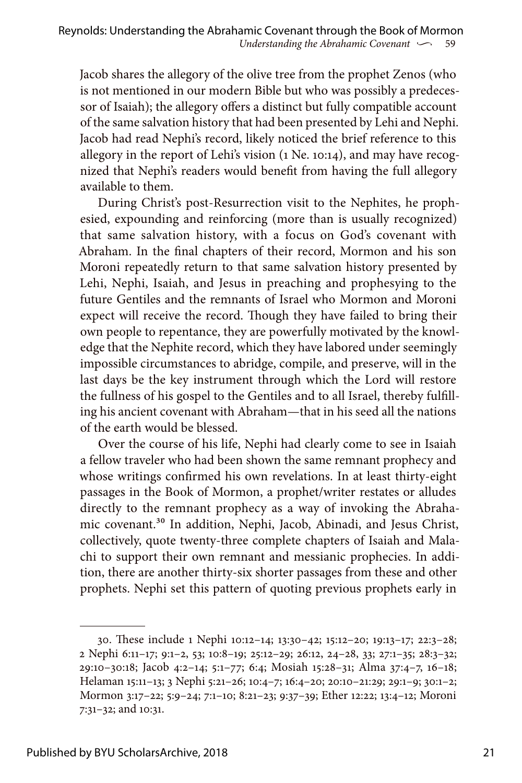Jacob shares the allegory of the olive tree from the prophet Zenos (who is not mentioned in our modern Bible but who was possibly a predecessor of Isaiah); the allegory offers a distinct but fully compatible account of the same salvation history that had been presented by Lehi and Nephi. Jacob had read Nephi's record, likely noticed the brief reference to this allegory in the report of Lehi's vision (1 Ne. 10:14), and may have recognized that Nephi's readers would benefit from having the full allegory available to them.

During Christ's post-Resurrection visit to the Nephites, he prophesied, expounding and reinforcing (more than is usually recognized) that same salvation history, with a focus on God's covenant with Abraham. In the final chapters of their record, Mormon and his son Moroni repeatedly return to that same salvation history presented by Lehi, Nephi, Isaiah, and Jesus in preaching and prophesying to the future Gentiles and the remnants of Israel who Mormon and Moroni expect will receive the record. Though they have failed to bring their own people to repentance, they are powerfully motivated by the knowledge that the Nephite record, which they have labored under seemingly impossible circumstances to abridge, compile, and preserve, will in the last days be the key instrument through which the Lord will restore the fullness of his gospel to the Gentiles and to all Israel, thereby fulfilling his ancient covenant with Abraham—that in his seed all the nations of the earth would be blessed.

Over the course of his life, Nephi had clearly come to see in Isaiah a fellow traveler who had been shown the same remnant prophecy and whose writings confirmed his own revelations. In at least thirty-eight passages in the Book of Mormon, a prophet/writer restates or alludes directly to the remnant prophecy as a way of invoking the Abrahamic covenant.30 In addition, Nephi, Jacob, Abinadi, and Jesus Christ, collectively, quote twenty-three complete chapters of Isaiah and Malachi to support their own remnant and messianic prophecies. In addition, there are another thirty-six shorter passages from these and other prophets. Nephi set this pattern of quoting previous prophets early in

<sup>30.</sup> These include 1 Nephi 10:12–14; 13:30–42; 15:12–20; 19:13–17; 22:3–28; 2 Nephi 6:11–17; 9:1–2, 53; 10:8–19; 25:12–29; 26:12, 24–28, 33; 27:1–35; 28:3–32; 29:10–30:18; Jacob 4:2–14; 5:1–77; 6:4; Mosiah 15:28–31; Alma 37:4–7, 16–18; Helaman 15:11–13; 3 Nephi 5:21–26; 10:4–7; 16:4–20; 20:10–21:29; 29:1–9; 30:1–2; Mormon 3:17–22; 5:9–24; 7:1–10; 8:21–23; 9:37–39; Ether 12:22; 13:4–12; Moroni 7:31–32; and 10:31.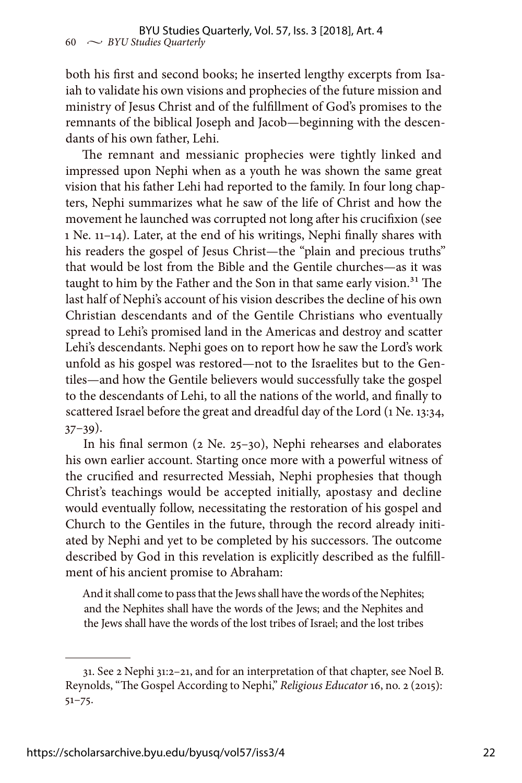both his first and second books; he inserted lengthy excerpts from Isaiah to validate his own visions and prophecies of the future mission and ministry of Jesus Christ and of the fulfillment of God's promises to the remnants of the biblical Joseph and Jacob—beginning with the descendants of his own father, Lehi.

The remnant and messianic prophecies were tightly linked and impressed upon Nephi when as a youth he was shown the same great vision that his father Lehi had reported to the family. In four long chapters, Nephi summarizes what he saw of the life of Christ and how the movement he launched was corrupted not long after his crucifixion (see 1 Ne. 11–14). Later, at the end of his writings, Nephi finally shares with his readers the gospel of Jesus Christ—the "plain and precious truths" that would be lost from the Bible and the Gentile churches—as it was taught to him by the Father and the Son in that same early vision.<sup>31</sup> The last half of Nephi's account of his vision describes the decline of his own Christian descendants and of the Gentile Christians who eventually spread to Lehi's promised land in the Americas and destroy and scatter Lehi's descendants. Nephi goes on to report how he saw the Lord's work unfold as his gospel was restored—not to the Israelites but to the Gentiles—and how the Gentile believers would successfully take the gospel to the descendants of Lehi, to all the nations of the world, and finally to scattered Israel before the great and dreadful day of the Lord (1 Ne. 13:34,  $37-39$ ).

In his final sermon (2 Ne. 25–30), Nephi rehearses and elaborates his own earlier account. Starting once more with a powerful witness of the crucified and resurrected Messiah, Nephi prophesies that though Christ's teachings would be accepted initially, apostasy and decline would eventually follow, necessitating the restoration of his gospel and Church to the Gentiles in the future, through the record already initiated by Nephi and yet to be completed by his successors. The outcome described by God in this revelation is explicitly described as the fulfillment of his ancient promise to Abraham:

And it shall come to pass that the Jews shall have the words of the Nephites; and the Nephites shall have the words of the Jews; and the Nephites and the Jews shall have the words of the lost tribes of Israel; and the lost tribes

<sup>31.</sup> See 2 Nephi 31:2–21, and for an interpretation of that chapter, see Noel B. Reynolds, "The Gospel According to Nephi," *Religious Educator* 16, no. 2 (2015): 51–75.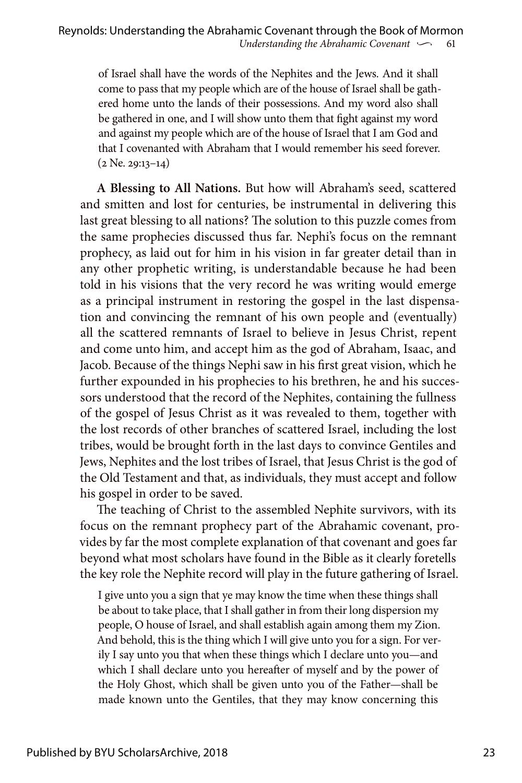of Israel shall have the words of the Nephites and the Jews. And it shall come to pass that my people which are of the house of Israel shall be gathered home unto the lands of their possessions. And my word also shall be gathered in one, and I will show unto them that fight against my word and against my people which are of the house of Israel that I am God and that I covenanted with Abraham that I would remember his seed forever. (2 Ne. 29:13–14)

**A Blessing to All Nations.** But how will Abraham's seed, scattered and smitten and lost for centuries, be instrumental in delivering this last great blessing to all nations? The solution to this puzzle comes from the same prophecies discussed thus far. Nephi's focus on the remnant prophecy, as laid out for him in his vision in far greater detail than in any other prophetic writing, is understandable because he had been told in his visions that the very record he was writing would emerge as a principal instrument in restoring the gospel in the last dispensation and convincing the remnant of his own people and (eventually) all the scattered remnants of Israel to believe in Jesus Christ, repent and come unto him, and accept him as the god of Abraham, Isaac, and Jacob. Because of the things Nephi saw in his first great vision, which he further expounded in his prophecies to his brethren, he and his successors understood that the record of the Nephites, containing the fullness of the gospel of Jesus Christ as it was revealed to them, together with the lost records of other branches of scattered Israel, including the lost tribes, would be brought forth in the last days to convince Gentiles and Jews, Nephites and the lost tribes of Israel, that Jesus Christ is the god of the Old Testament and that, as individuals, they must accept and follow his gospel in order to be saved.

The teaching of Christ to the assembled Nephite survivors, with its focus on the remnant prophecy part of the Abrahamic covenant, provides by far the most complete explanation of that covenant and goes far beyond what most scholars have found in the Bible as it clearly foretells the key role the Nephite record will play in the future gathering of Israel.

I give unto you a sign that ye may know the time when these things shall be about to take place, that I shall gather in from their long dispersion my people, O house of Israel, and shall establish again among them my Zion. And behold, this is the thing which I will give unto you for a sign. For verily I say unto you that when these things which I declare unto you—and which I shall declare unto you hereafter of myself and by the power of the Holy Ghost, which shall be given unto you of the Father—shall be made known unto the Gentiles, that they may know concerning this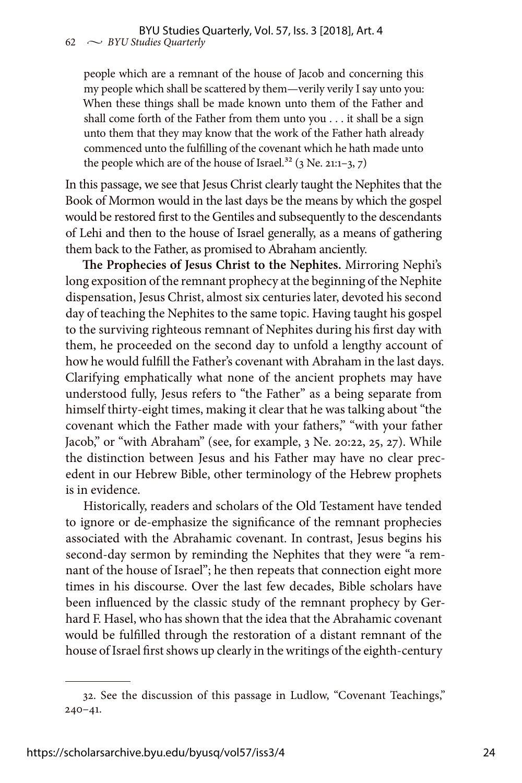people which are a remnant of the house of Jacob and concerning this my people which shall be scattered by them—verily verily I say unto you: When these things shall be made known unto them of the Father and shall come forth of the Father from them unto you . . . it shall be a sign unto them that they may know that the work of the Father hath already commenced unto the fulfilling of the covenant which he hath made unto the people which are of the house of Israel.<sup>32</sup> (3 Ne. 21:1-3, 7)

In this passage, we see that Jesus Christ clearly taught the Nephites that the Book of Mormon would in the last days be the means by which the gospel would be restored first to the Gentiles and subsequently to the descendants of Lehi and then to the house of Israel generally, as a means of gathering them back to the Father, as promised to Abraham anciently.

**The Prophecies of Jesus Christ to the Nephites.** Mirroring Nephi's long exposition of the remnant prophecy at the beginning of the Nephite dispensation, Jesus Christ, almost six centuries later, devoted his second day of teaching the Nephites to the same topic. Having taught his gospel to the surviving righteous remnant of Nephites during his first day with them, he proceeded on the second day to unfold a lengthy account of how he would fulfill the Father's covenant with Abraham in the last days. Clarifying emphatically what none of the ancient prophets may have understood fully, Jesus refers to "the Father" as a being separate from himself thirty-eight times, making it clear that he was talking about "the covenant which the Father made with your fathers," "with your father Jacob," or "with Abraham" (see, for example, 3 Ne. 20:22, 25, 27). While the distinction between Jesus and his Father may have no clear precedent in our Hebrew Bible, other terminology of the Hebrew prophets is in evidence.

Historically, readers and scholars of the Old Testament have tended to ignore or de-emphasize the significance of the remnant prophecies associated with the Abrahamic covenant. In contrast, Jesus begins his second-day sermon by reminding the Nephites that they were "a remnant of the house of Israel"; he then repeats that connection eight more times in his discourse. Over the last few decades, Bible scholars have been influenced by the classic study of the remnant prophecy by Gerhard F. Hasel, who has shown that the idea that the Abrahamic covenant would be fulfilled through the restoration of a distant remnant of the house of Israel first shows up clearly in the writings of the eighth-century

<sup>32.</sup> See the discussion of this passage in Ludlow, "Covenant Teachings," 240–41.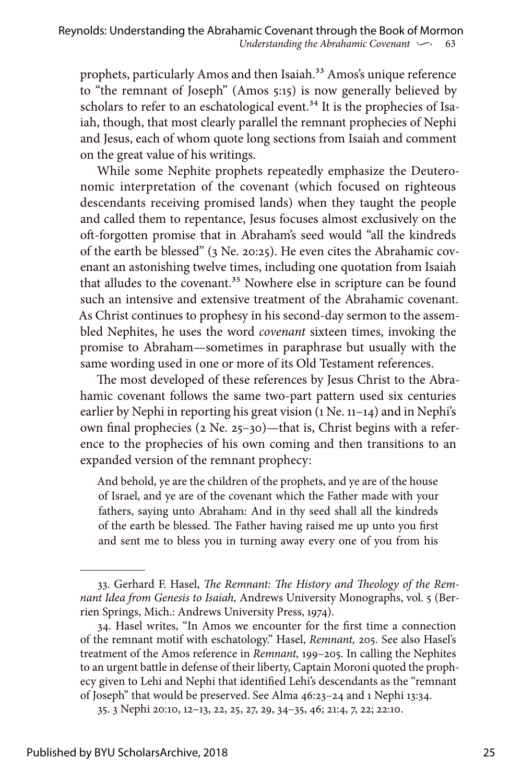prophets, particularly Amos and then Isaiah.<sup>33</sup> Amos's unique reference to "the remnant of Joseph" (Amos 5:15) is now generally believed by scholars to refer to an eschatological event.<sup>34</sup> It is the prophecies of Isaiah, though, that most clearly parallel the remnant prophecies of Nephi and Jesus, each of whom quote long sections from Isaiah and comment on the great value of his writings.

While some Nephite prophets repeatedly emphasize the Deuteronomic interpretation of the covenant (which focused on righteous descendants receiving promised lands) when they taught the people and called them to repentance, Jesus focuses almost exclusively on the oft-forgotten promise that in Abraham's seed would "all the kindreds of the earth be blessed" (3 Ne. 20:25). He even cites the Abrahamic covenant an astonishing twelve times, including one quotation from Isaiah that alludes to the covenant.<sup>35</sup> Nowhere else in scripture can be found such an intensive and extensive treatment of the Abrahamic covenant. As Christ continues to prophesy in his second-day sermon to the assembled Nephites, he uses the word *covenant* sixteen times, invoking the promise to Abraham—sometimes in paraphrase but usually with the same wording used in one or more of its Old Testament references.

The most developed of these references by Jesus Christ to the Abrahamic covenant follows the same two-part pattern used six centuries earlier by Nephi in reporting his great vision (1 Ne. 11-14) and in Nephi's own final prophecies (2 Ne. 25–30)—that is, Christ begins with a reference to the prophecies of his own coming and then transitions to an expanded version of the remnant prophecy:

And behold, ye are the children of the prophets, and ye are of the house of Israel, and ye are of the covenant which the Father made with your fathers, saying unto Abraham: And in thy seed shall all the kindreds of the earth be blessed. The Father having raised me up unto you first and sent me to bless you in turning away every one of you from his

<sup>33.</sup> Gerhard F. Hasel, *The Remnant: The History and Theology of the Remnant Idea from Genesis to Isaiah,* Andrews University Monographs, vol. 5 (Berrien Springs, Mich.: Andrews University Press, 1974).

<sup>34.</sup> Hasel writes, "In Amos we encounter for the first time a connection of the remnant motif with eschatology." Hasel, *Remnant,* 205. See also Hasel's treatment of the Amos reference in *Remnant,* 199–205. In calling the Nephites to an urgent battle in defense of their liberty, Captain Moroni quoted the prophecy given to Lehi and Nephi that identified Lehi's descendants as the "remnant of Joseph" that would be preserved. See Alma 46:23–24 and 1 Nephi 13:34.

<sup>35. 3</sup> Nephi 20:10, 12–13, 22, 25, 27, 29, 34–35, 46; 21:4, 7, 22; 22:10.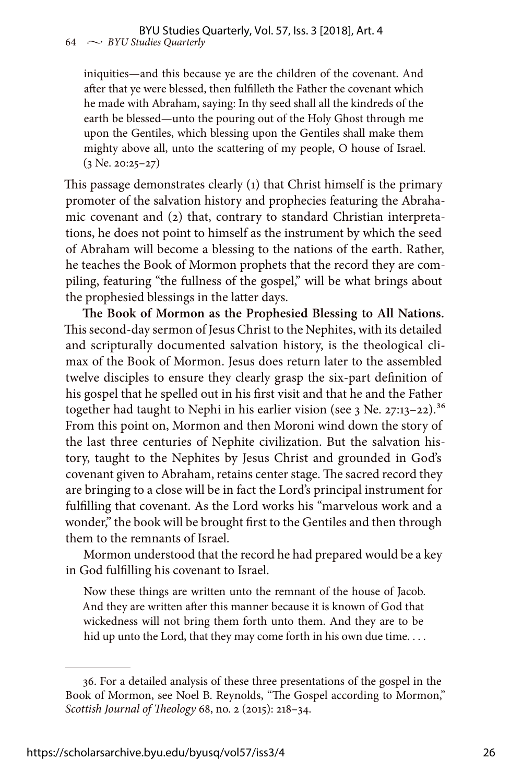iniquities—and this because ye are the children of the covenant. And after that ye were blessed, then fulfilleth the Father the covenant which he made with Abraham, saying: In thy seed shall all the kindreds of the earth be blessed—unto the pouring out of the Holy Ghost through me upon the Gentiles, which blessing upon the Gentiles shall make them mighty above all, unto the scattering of my people, O house of Israel.  $(3$  Ne. 20:25–27)

This passage demonstrates clearly (1) that Christ himself is the primary promoter of the salvation history and prophecies featuring the Abrahamic covenant and (2) that, contrary to standard Christian interpretations, he does not point to himself as the instrument by which the seed of Abraham will become a blessing to the nations of the earth. Rather, he teaches the Book of Mormon prophets that the record they are compiling, featuring "the fullness of the gospel," will be what brings about the prophesied blessings in the latter days.

**The Book of Mormon as the Prophesied Blessing to All Nations.** This second-day sermon of Jesus Christ to the Nephites, with its detailed and scripturally documented salvation history, is the theological climax of the Book of Mormon. Jesus does return later to the assembled twelve disciples to ensure they clearly grasp the six-part definition of his gospel that he spelled out in his first visit and that he and the Father together had taught to Nephi in his earlier vision (see 3 Ne. 27:13-22).<sup>36</sup> From this point on, Mormon and then Moroni wind down the story of the last three centuries of Nephite civilization. But the salvation history, taught to the Nephites by Jesus Christ and grounded in God's covenant given to Abraham, retains center stage. The sacred record they are bringing to a close will be in fact the Lord's principal instrument for fulfilling that covenant. As the Lord works his "marvelous work and a wonder," the book will be brought first to the Gentiles and then through them to the remnants of Israel.

Mormon understood that the record he had prepared would be a key in God fulfilling his covenant to Israel.

Now these things are written unto the remnant of the house of Jacob. And they are written after this manner because it is known of God that wickedness will not bring them forth unto them. And they are to be hid up unto the Lord, that they may come forth in his own due time....

<sup>36.</sup> For a detailed analysis of these three presentations of the gospel in the Book of Mormon, see Noel B. Reynolds, "The Gospel according to Mormon," *Scottish Journal of Theology* 68, no. 2 (2015): 218–34.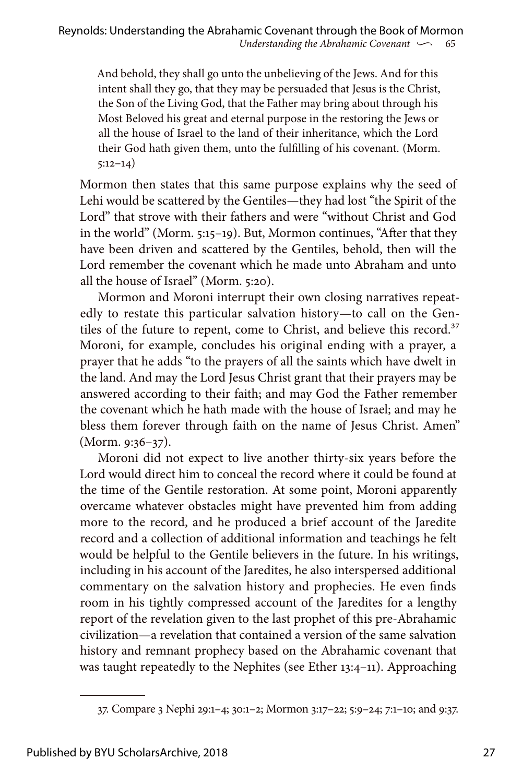And behold, they shall go unto the unbelieving of the Jews. And for this intent shall they go, that they may be persuaded that Jesus is the Christ, the Son of the Living God, that the Father may bring about through his Most Beloved his great and eternal purpose in the restoring the Jews or all the house of Israel to the land of their inheritance, which the Lord their God hath given them, unto the fulfilling of his covenant. (Morm. 5:12–14)

Mormon then states that this same purpose explains why the seed of Lehi would be scattered by the Gentiles—they had lost "the Spirit of the Lord" that strove with their fathers and were "without Christ and God in the world" (Morm. 5:15–19). But, Mormon continues, "After that they have been driven and scattered by the Gentiles, behold, then will the Lord remember the covenant which he made unto Abraham and unto all the house of Israel" (Morm. 5:20).

Mormon and Moroni interrupt their own closing narratives repeatedly to restate this particular salvation history—to call on the Gentiles of the future to repent, come to Christ, and believe this record.<sup>37</sup> Moroni, for example, concludes his original ending with a prayer, a prayer that he adds "to the prayers of all the saints which have dwelt in the land. And may the Lord Jesus Christ grant that their prayers may be answered according to their faith; and may God the Father remember the covenant which he hath made with the house of Israel; and may he bless them forever through faith on the name of Jesus Christ. Amen" (Morm. 9:36–37).

Moroni did not expect to live another thirty-six years before the Lord would direct him to conceal the record where it could be found at the time of the Gentile restoration. At some point, Moroni apparently overcame whatever obstacles might have prevented him from adding more to the record, and he produced a brief account of the Jaredite record and a collection of additional information and teachings he felt would be helpful to the Gentile believers in the future. In his writings, including in his account of the Jaredites, he also interspersed additional commentary on the salvation history and prophecies. He even finds room in his tightly compressed account of the Jaredites for a lengthy report of the revelation given to the last prophet of this pre-Abrahamic civilization—a revelation that contained a version of the same salvation history and remnant prophecy based on the Abrahamic covenant that was taught repeatedly to the Nephites (see Ether 13:4–11). Approaching

<sup>37.</sup> Compare 3 Nephi 29:1–4; 30:1–2; Mormon 3:17–22; 5:9–24; 7:1–10; and 9:37.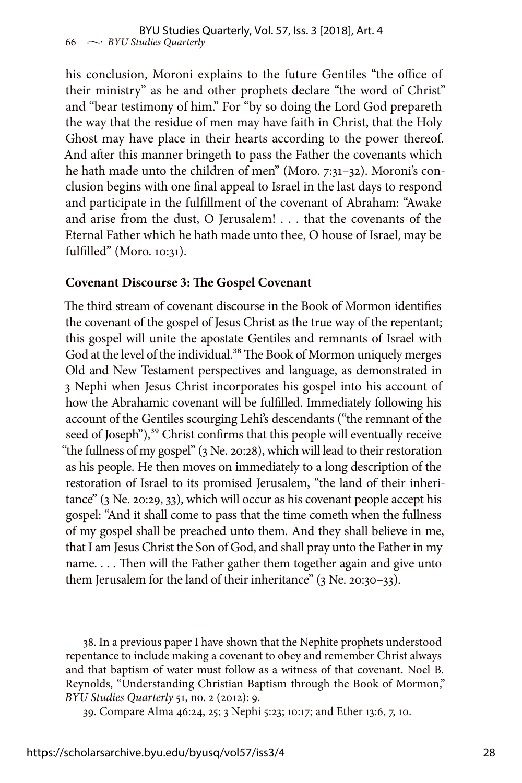his conclusion, Moroni explains to the future Gentiles "the office of their ministry" as he and other prophets declare "the word of Christ" and "bear testimony of him." For "by so doing the Lord God prepareth the way that the residue of men may have faith in Christ, that the Holy Ghost may have place in their hearts according to the power thereof. And after this manner bringeth to pass the Father the covenants which he hath made unto the children of men" (Moro. 7:31-32). Moroni's conclusion begins with one final appeal to Israel in the last days to respond and participate in the fulfillment of the covenant of Abraham: "Awake and arise from the dust, O Jerusalem! . . . that the covenants of the Eternal Father which he hath made unto thee, O house of Israel, may be fulfilled" (Moro. 10:31).

#### **Covenant Discourse 3: The Gospel Covenant**

The third stream of covenant discourse in the Book of Mormon identifies the covenant of the gospel of Jesus Christ as the true way of the repentant; this gospel will unite the apostate Gentiles and remnants of Israel with God at the level of the individual.<sup>38</sup> The Book of Mormon uniquely merges Old and New Testament perspectives and language, as demonstrated in 3 Nephi when Jesus Christ incorporates his gospel into his account of how the Abrahamic covenant will be fulfilled. Immediately following his account of the Gentiles scourging Lehi's descendants ("the remnant of the seed of Joseph"),<sup>39</sup> Christ confirms that this people will eventually receive "the fullness of my gospel" (3 Ne. 20:28), which will lead to their restoration as his people. He then moves on immediately to a long description of the restoration of Israel to its promised Jerusalem, "the land of their inheritance" (3 Ne. 20:29, 33), which will occur as his covenant people accept his gospel: "And it shall come to pass that the time cometh when the fullness of my gospel shall be preached unto them. And they shall believe in me, that I am Jesus Christ the Son of God, and shall pray unto the Father in my name. . . . Then will the Father gather them together again and give unto them Jerusalem for the land of their inheritance" (3 Ne. 20:30–33).

<sup>38.</sup> In a previous paper I have shown that the Nephite prophets understood repentance to include making a covenant to obey and remember Christ always and that baptism of water must follow as a witness of that covenant. Noel B. Reynolds, "Understanding Christian Baptism through the Book of Mormon," *BYU Studies Quarterly* 51, no. 2 (2012): 9.

<sup>39.</sup> Compare Alma 46:24, 25; 3 Nephi 5:23; 10:17; and Ether 13:6, 7, 10.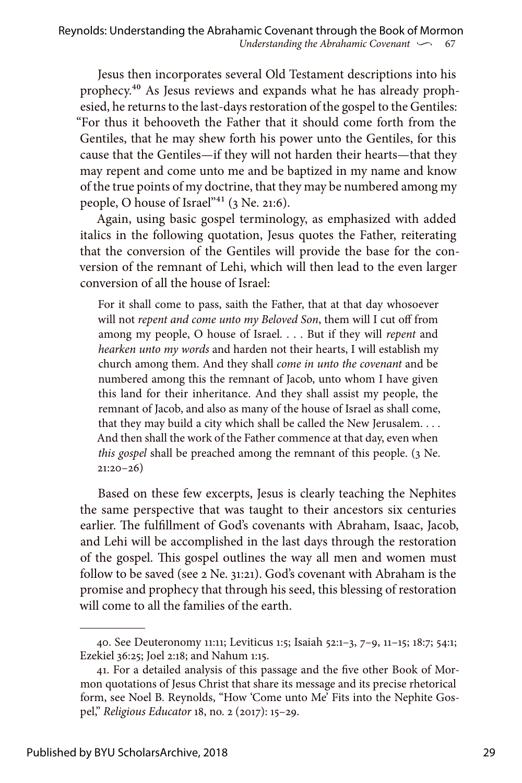Jesus then incorporates several Old Testament descriptions into his prophecy.40 As Jesus reviews and expands what he has already prophesied, he returns to the last-days restoration of the gospel to the Gentiles: "For thus it behooveth the Father that it should come forth from the Gentiles, that he may shew forth his power unto the Gentiles, for this cause that the Gentiles—if they will not harden their hearts—that they may repent and come unto me and be baptized in my name and know of the true points of my doctrine, that they may be numbered among my people, O house of Israel"<sup>41</sup> (3 Ne. 21:6).

Again, using basic gospel terminology, as emphasized with added italics in the following quotation, Jesus quotes the Father, reiterating that the conversion of the Gentiles will provide the base for the conversion of the remnant of Lehi, which will then lead to the even larger conversion of all the house of Israel:

For it shall come to pass, saith the Father, that at that day whosoever will not *repent and come unto my Beloved Son*, them will I cut off from among my people, O house of Israel. . . . But if they will *repent* and *hearken unto my words* and harden not their hearts, I will establish my church among them. And they shall *come in unto the covenant* and be numbered among this the remnant of Jacob, unto whom I have given this land for their inheritance. And they shall assist my people, the remnant of Jacob, and also as many of the house of Israel as shall come, that they may build a city which shall be called the New Jerusalem. . . . And then shall the work of the Father commence at that day, even when *this gospel shall be preached among the remnant of this people.* (3 Ne. 21:20–26)

Based on these few excerpts, Jesus is clearly teaching the Nephites the same perspective that was taught to their ancestors six centuries earlier. The fulfillment of God's covenants with Abraham, Isaac, Jacob, and Lehi will be accomplished in the last days through the restoration of the gospel. This gospel outlines the way all men and women must follow to be saved (see 2 Ne. 31:21). God's covenant with Abraham is the promise and prophecy that through his seed, this blessing of restoration will come to all the families of the earth.

<sup>40.</sup> See Deuteronomy 11:11; Leviticus 1:5; Isaiah 52:1–3, 7–9, 11–15; 18:7; 54:1; Ezekiel 36:25; Joel 2:18; and Nahum 1:15.

<sup>41.</sup> For a detailed analysis of this passage and the five other Book of Mormon quotations of Jesus Christ that share its message and its precise rhetorical form, see Noel B. Reynolds, "How 'Come unto Me' Fits into the Nephite Gospel," *Religious Educator* 18, no. 2 (2017): 15–29.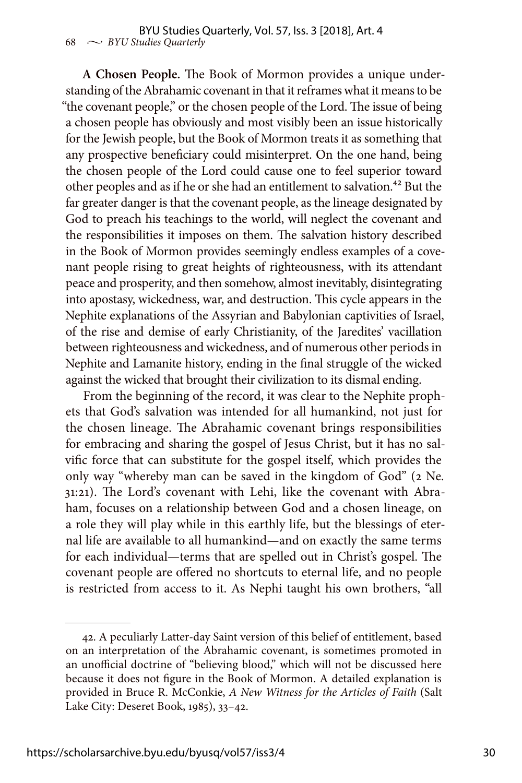**A Chosen People.** The Book of Mormon provides a unique understanding of the Abrahamic covenant in that it reframes what it means to be "the covenant people," or the chosen people of the Lord. The issue of being a chosen people has obviously and most visibly been an issue historically for the Jewish people, but the Book of Mormon treats it as something that any prospective beneficiary could misinterpret. On the one hand, being the chosen people of the Lord could cause one to feel superior toward other peoples and as if he or she had an entitlement to salvation.<sup>42</sup> But the far greater danger is that the covenant people, as the lineage designated by God to preach his teachings to the world, will neglect the covenant and the responsibilities it imposes on them. The salvation history described in the Book of Mormon provides seemingly endless examples of a covenant people rising to great heights of righteousness, with its attendant peace and prosperity, and then somehow, almost inevitably, disintegrating into apostasy, wickedness, war, and destruction. This cycle appears in the Nephite explanations of the Assyrian and Babylonian captivities of Israel, of the rise and demise of early Christianity, of the Jaredites' vacillation between righteousness and wickedness, and of numerous other periods in Nephite and Lamanite history, ending in the final struggle of the wicked against the wicked that brought their civilization to its dismal ending.

From the beginning of the record, it was clear to the Nephite prophets that God's salvation was intended for all humankind, not just for the chosen lineage. The Abrahamic covenant brings responsibilities for embracing and sharing the gospel of Jesus Christ, but it has no salvific force that can substitute for the gospel itself, which provides the only way "whereby man can be saved in the kingdom of God" (2 Ne. 31:21). The Lord's covenant with Lehi, like the covenant with Abraham, focuses on a relationship between God and a chosen lineage, on a role they will play while in this earthly life, but the blessings of eternal life are available to all humankind—and on exactly the same terms for each individual—terms that are spelled out in Christ's gospel. The covenant people are offered no shortcuts to eternal life, and no people is restricted from access to it. As Nephi taught his own brothers, "all

<sup>42.</sup> A peculiarly Latter-day Saint version of this belief of entitlement, based on an interpretation of the Abrahamic covenant, is sometimes promoted in an unofficial doctrine of "believing blood," which will not be discussed here because it does not figure in the Book of Mormon. A detailed explanation is provided in Bruce R. McConkie, *A New Witness for the Articles of Faith* (Salt Lake City: Deseret Book, 1985), 33–42.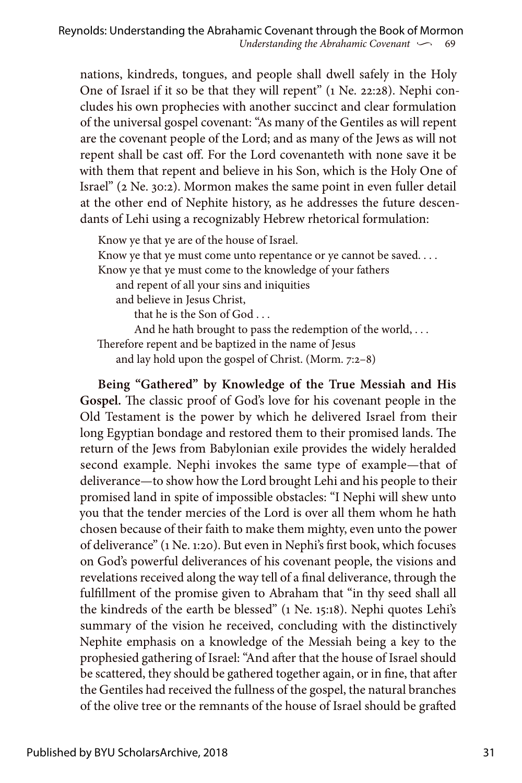nations, kindreds, tongues, and people shall dwell safely in the Holy One of Israel if it so be that they will repent" (1 Ne. 22:28). Nephi concludes his own prophecies with another succinct and clear formulation of the universal gospel covenant: "As many of the Gentiles as will repent are the covenant people of the Lord; and as many of the Jews as will not repent shall be cast off. For the Lord covenanteth with none save it be with them that repent and believe in his Son, which is the Holy One of Israel" (2 Ne. 30:2). Mormon makes the same point in even fuller detail at the other end of Nephite history, as he addresses the future descendants of Lehi using a recognizably Hebrew rhetorical formulation:

Know ye that ye are of the house of Israel.

Know ye that ye must come unto repentance or ye cannot be saved. . . .

Know ye that ye must come to the knowledge of your fathers

and repent of all your sins and iniquities

and believe in Jesus Christ,

that he is the Son of God . . .

 And he hath brought to pass the redemption of the world, . . . Therefore repent and be baptized in the name of Jesus

and lay hold upon the gospel of Christ. (Morm. 7:2–8)

**Being "Gathered" by Knowledge of the True Messiah and His Gospel.** The classic proof of God's love for his covenant people in the Old Testament is the power by which he delivered Israel from their long Egyptian bondage and restored them to their promised lands. The return of the Jews from Babylonian exile provides the widely heralded second example. Nephi invokes the same type of example—that of deliverance—to show how the Lord brought Lehi and his people to their promised land in spite of impossible obstacles: "I Nephi will shew unto you that the tender mercies of the Lord is over all them whom he hath chosen because of their faith to make them mighty, even unto the power of deliverance" (1 Ne. 1:20). But even in Nephi's first book, which focuses on God's powerful deliverances of his covenant people, the visions and revelations received along the way tell of a final deliverance, through the fulfillment of the promise given to Abraham that "in thy seed shall all the kindreds of the earth be blessed" (1 Ne. 15:18). Nephi quotes Lehi's summary of the vision he received, concluding with the distinctively Nephite emphasis on a knowledge of the Messiah being a key to the prophesied gathering of Israel: "And after that the house of Israel should be scattered, they should be gathered together again, or in fine, that after the Gentiles had received the fullness of the gospel, the natural branches of the olive tree or the remnants of the house of Israel should be grafted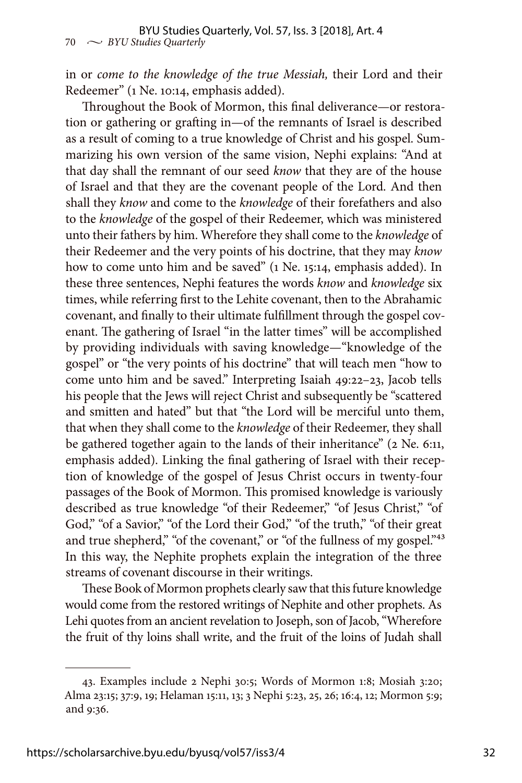in or *come to the knowledge of the true Messiah,* their Lord and their Redeemer" (1 Ne. 10:14, emphasis added).

Throughout the Book of Mormon, this final deliverance—or restoration or gathering or grafting in—of the remnants of Israel is described as a result of coming to a true knowledge of Christ and his gospel. Summarizing his own version of the same vision, Nephi explains: "And at that day shall the remnant of our seed *know* that they are of the house of Israel and that they are the covenant people of the Lord. And then shall they *know* and come to the *knowledge* of their forefathers and also to the *knowledge* of the gospel of their Redeemer, which was ministered unto their fathers by him. Wherefore they shall come to the *knowledge* of their Redeemer and the very points of his doctrine, that they may *know*  how to come unto him and be saved" (1 Ne. 15:14, emphasis added). In these three sentences, Nephi features the words *know* and *knowledge* six times, while referring first to the Lehite covenant, then to the Abrahamic covenant, and finally to their ultimate fulfillment through the gospel covenant. The gathering of Israel "in the latter times" will be accomplished by providing individuals with saving knowledge—"knowledge of the gospel" or "the very points of his doctrine" that will teach men "how to come unto him and be saved." Interpreting Isaiah 49:22–23, Jacob tells his people that the Jews will reject Christ and subsequently be "scattered and smitten and hated" but that "the Lord will be merciful unto them, that when they shall come to the *knowledge* of their Redeemer, they shall be gathered together again to the lands of their inheritance" (2 Ne. 6:11, emphasis added). Linking the final gathering of Israel with their reception of knowledge of the gospel of Jesus Christ occurs in twenty-four passages of the Book of Mormon. This promised knowledge is variously described as true knowledge "of their Redeemer," "of Jesus Christ," "of God," "of a Savior," "of the Lord their God," "of the truth," "of their great and true shepherd," "of the covenant," or "of the fullness of my gospel."<sup>43</sup> In this way, the Nephite prophets explain the integration of the three streams of covenant discourse in their writings.

These Book of Mormon prophets clearly saw that this future knowledge would come from the restored writings of Nephite and other prophets. As Lehi quotes from an ancient revelation to Joseph, son of Jacob, "Wherefore the fruit of thy loins shall write, and the fruit of the loins of Judah shall

<sup>43.</sup> Examples include 2 Nephi 30:5; Words of Mormon 1:8; Mosiah 3:20; Alma 23:15; 37:9, 19; Helaman 15:11, 13; 3 Nephi 5:23, 25, 26; 16:4, 12; Mormon 5:9; and 9:36.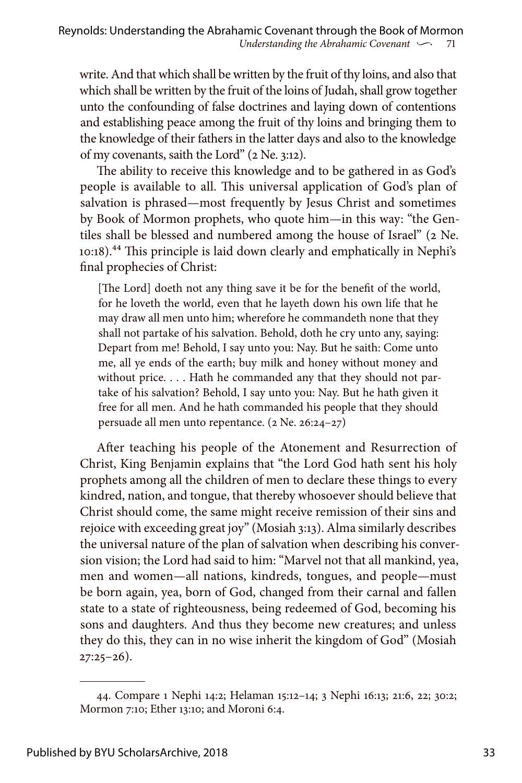write. And that which shall be written by the fruit of thy loins, and also that which shall be written by the fruit of the loins of Judah, shall grow together unto the confounding of false doctrines and laying down of contentions and establishing peace among the fruit of thy loins and bringing them to the knowledge of their fathers in the latter days and also to the knowledge of my covenants, saith the Lord" (2 Ne. 3:12).

The ability to receive this knowledge and to be gathered in as God's people is available to all. This universal application of God's plan of salvation is phrased—most frequently by Jesus Christ and sometimes by Book of Mormon prophets, who quote him—in this way: "the Gentiles shall be blessed and numbered among the house of Israel" (2 Ne. 10:18).44 This principle is laid down clearly and emphatically in Nephi's final prophecies of Christ:

[The Lord] doeth not any thing save it be for the benefit of the world, for he loveth the world, even that he layeth down his own life that he may draw all men unto him; wherefore he commandeth none that they shall not partake of his salvation. Behold, doth he cry unto any, saying: Depart from me! Behold, I say unto you: Nay. But he saith: Come unto me, all ye ends of the earth; buy milk and honey without money and without price. . . . Hath he commanded any that they should not partake of his salvation? Behold, I say unto you: Nay. But he hath given it free for all men. And he hath commanded his people that they should persuade all men unto repentance. (2 Ne. 26:24–27)

After teaching his people of the Atonement and Resurrection of Christ, King Benjamin explains that "the Lord God hath sent his holy prophets among all the children of men to declare these things to every kindred, nation, and tongue, that thereby whosoever should believe that Christ should come, the same might receive remission of their sins and rejoice with exceeding great joy" (Mosiah 3:13). Alma similarly describes the universal nature of the plan of salvation when describing his conversion vision; the Lord had said to him: "Marvel not that all mankind, yea, men and women—all nations, kindreds, tongues, and people—must be born again, yea, born of God, changed from their carnal and fallen state to a state of righteousness, being redeemed of God, becoming his sons and daughters. And thus they become new creatures; and unless they do this, they can in no wise inherit the kingdom of God" (Mosiah  $27:25-26$ ).

<sup>44.</sup> Compare 1 Nephi 14:2; Helaman 15:12–14; 3 Nephi 16:13; 21:6, 22; 30:2; Mormon 7:10; Ether 13:10; and Moroni 6:4.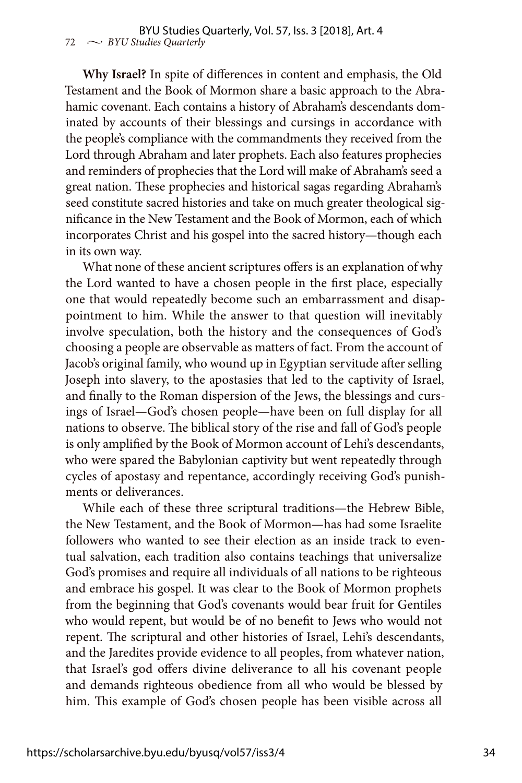**Why Israel?** In spite of differences in content and emphasis, the Old Testament and the Book of Mormon share a basic approach to the Abrahamic covenant. Each contains a history of Abraham's descendants dominated by accounts of their blessings and cursings in accordance with the people's compliance with the commandments they received from the Lord through Abraham and later prophets. Each also features prophecies and reminders of prophecies that the Lord will make of Abraham's seed a great nation. These prophecies and historical sagas regarding Abraham's seed constitute sacred histories and take on much greater theological significance in the New Testament and the Book of Mormon, each of which incorporates Christ and his gospel into the sacred history—though each in its own way.

What none of these ancient scriptures offers is an explanation of why the Lord wanted to have a chosen people in the first place, especially one that would repeatedly become such an embarrassment and disappointment to him. While the answer to that question will inevitably involve speculation, both the history and the consequences of God's choosing a people are observable as matters of fact. From the account of Jacob's original family, who wound up in Egyptian servitude after selling Joseph into slavery, to the apostasies that led to the captivity of Israel, and finally to the Roman dispersion of the Jews, the blessings and cursings of Israel—God's chosen people—have been on full display for all nations to observe. The biblical story of the rise and fall of God's people is only amplified by the Book of Mormon account of Lehi's descendants, who were spared the Babylonian captivity but went repeatedly through cycles of apostasy and repentance, accordingly receiving God's punishments or deliverances.

While each of these three scriptural traditions—the Hebrew Bible, the New Testament, and the Book of Mormon—has had some Israelite followers who wanted to see their election as an inside track to eventual salvation, each tradition also contains teachings that universalize God's promises and require all individuals of all nations to be righteous and embrace his gospel. It was clear to the Book of Mormon prophets from the beginning that God's covenants would bear fruit for Gentiles who would repent, but would be of no benefit to Jews who would not repent. The scriptural and other histories of Israel, Lehi's descendants, and the Jaredites provide evidence to all peoples, from whatever nation, that Israel's god offers divine deliverance to all his covenant people and demands righteous obedience from all who would be blessed by him. This example of God's chosen people has been visible across all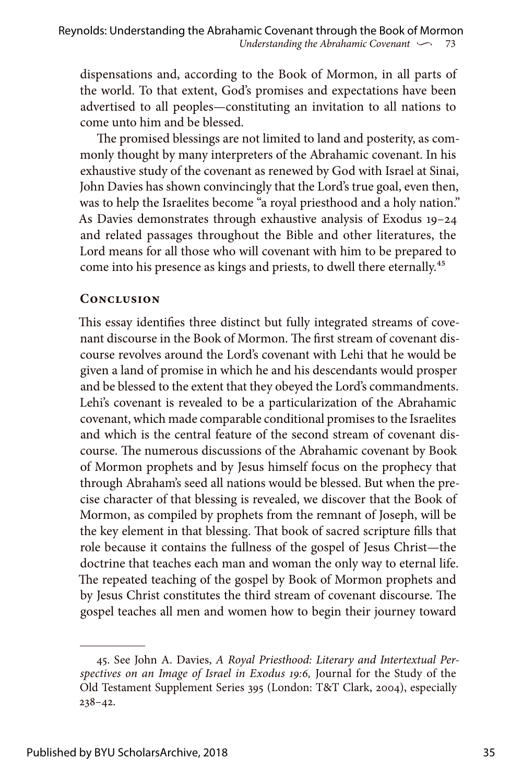dispensations and, according to the Book of Mormon, in all parts of the world. To that extent, God's promises and expectations have been advertised to all peoples—constituting an invitation to all nations to come unto him and be blessed.

The promised blessings are not limited to land and posterity, as commonly thought by many interpreters of the Abrahamic covenant. In his exhaustive study of the covenant as renewed by God with Israel at Sinai, John Davies has shown convincingly that the Lord's true goal, even then, was to help the Israelites become "a royal priesthood and a holy nation." As Davies demonstrates through exhaustive analysis of Exodus 19–24 and related passages throughout the Bible and other literatures, the Lord means for all those who will covenant with him to be prepared to come into his presence as kings and priests, to dwell there eternally.<sup>45</sup>

#### **Conclusion**

This essay identifies three distinct but fully integrated streams of covenant discourse in the Book of Mormon. The first stream of covenant discourse revolves around the Lord's covenant with Lehi that he would be given a land of promise in which he and his descendants would prosper and be blessed to the extent that they obeyed the Lord's commandments. Lehi's covenant is revealed to be a particularization of the Abrahamic covenant, which made comparable conditional promises to the Israelites and which is the central feature of the second stream of covenant discourse. The numerous discussions of the Abrahamic covenant by Book of Mormon prophets and by Jesus himself focus on the prophecy that through Abraham's seed all nations would be blessed. But when the precise character of that blessing is revealed, we discover that the Book of Mormon, as compiled by prophets from the remnant of Joseph, will be the key element in that blessing. That book of sacred scripture fills that role because it contains the fullness of the gospel of Jesus Christ—the doctrine that teaches each man and woman the only way to eternal life. The repeated teaching of the gospel by Book of Mormon prophets and by Jesus Christ constitutes the third stream of covenant discourse. The gospel teaches all men and women how to begin their journey toward

<sup>45.</sup> See John A. Davies, *A Royal Priesthood: Literary and Intertextual Perspectives on an Image of Israel in Exodus 19:6,* Journal for the Study of the Old Testament Supplement Series 395 (London: T&T Clark, 2004), especially 238–42.